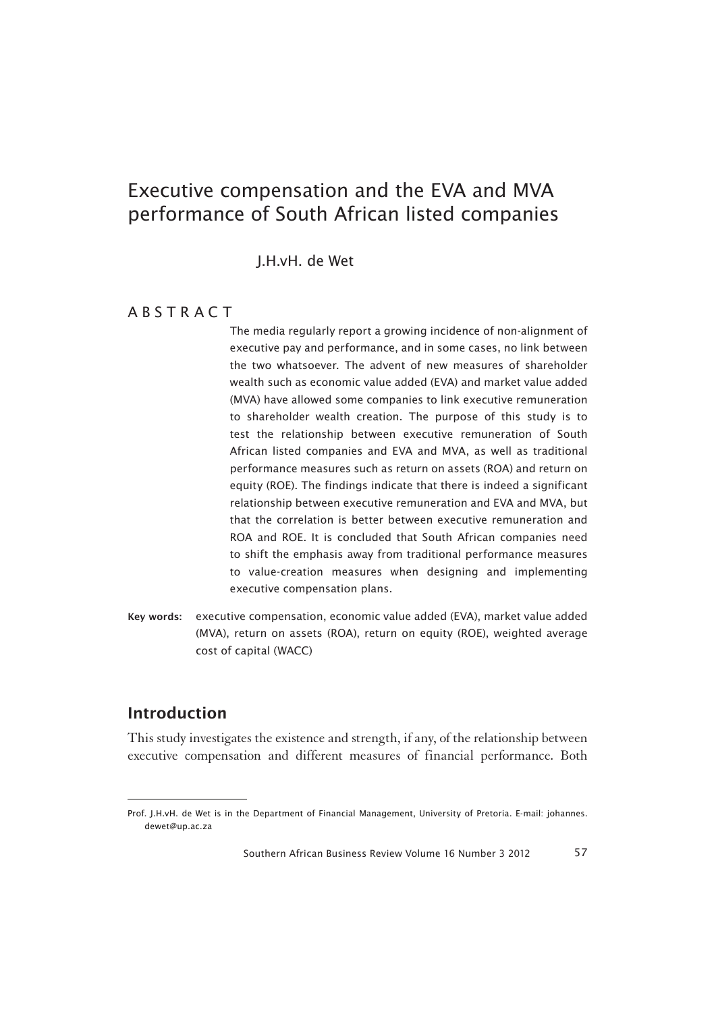J.H.vH. de Wet

### **ABSTRACT**

The media regularly report a growing incidence of non-alignment of executive pay and performance, and in some cases, no link between the two whatsoever. The advent of new measures of shareholder wealth such as economic value added (EVA) and market value added (MVA) have allowed some companies to link executive remuneration to shareholder wealth creation. The purpose of this study is to test the relationship between executive remuneration of South African listed companies and EVA and MVA, as well as traditional performance measures such as return on assets (ROA) and return on equity (ROE). The findings indicate that there is indeed a significant relationship between executive remuneration and EVA and MVA, but that the correlation is better between executive remuneration and ROA and ROE. It is concluded that South African companies need to shift the emphasis away from traditional performance measures to value-creation measures when designing and implementing executive compensation plans.

<sup>7</sup>Key words: executive compensation, economic value added (EVA), market value added (MVA), return on assets (ROA), return on equity (ROE), weighted average cost of capital (WACC)

## Introduction

This study investigates the existence and strength, if any, of the relationship between executive compensation and different measures of financial performance. Both

Prof. J.H.vH. de Wet is in the Department of Financial Management, University of Pretoria. E-mail: johannes. dewet@up.ac.za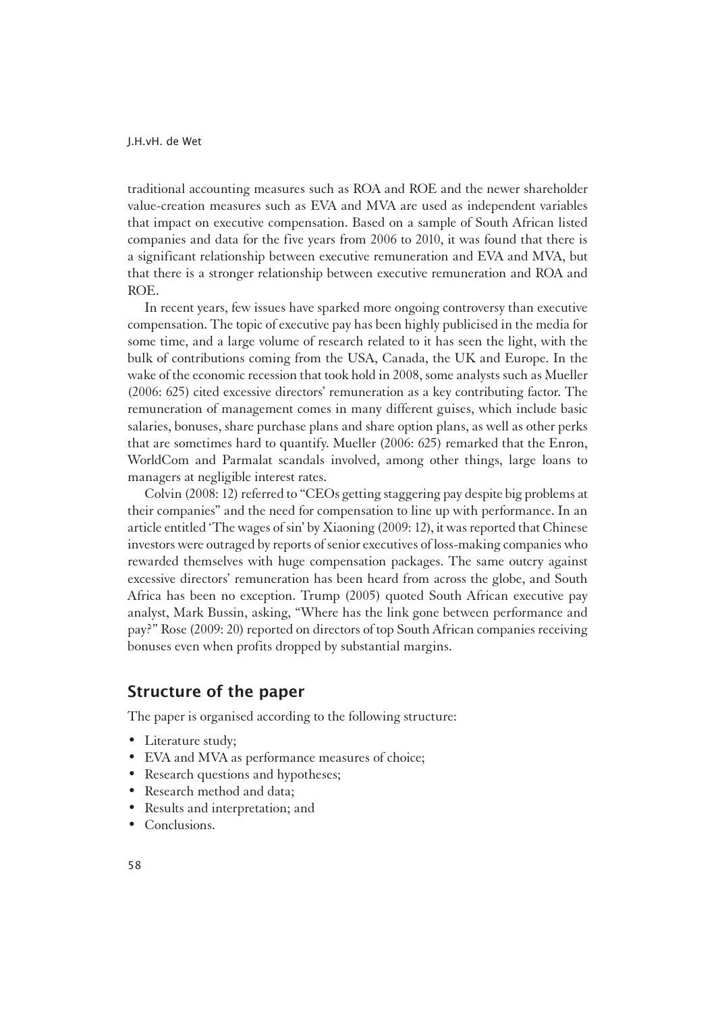traditional accounting measures such as ROA and ROE and the newer shareholder value-creation measures such as EVA and MVA are used as independent variables that impact on executive compensation. Based on a sample of South African listed companies and data for the five years from 2006 to 2010, it was found that there is a significant relationship between executive remuneration and EVA and MVA, but that there is a stronger relationship between executive remuneration and ROA and ROE.

In recent years, few issues have sparked more ongoing controversy than executive compensation. The topic of executive pay has been highly publicised in the media for some time, and a large volume of research related to it has seen the light, with the bulk of contributions coming from the USA, Canada, the UK and Europe. In the wake of the economic recession that took hold in 2008, some analysts such as Mueller (2006: 625) cited excessive directors' remuneration as a key contributing factor. The remuneration of management comes in many different guises, which include basic salaries, bonuses, share purchase plans and share option plans, as well as other perks that are sometimes hard to quantify. Mueller (2006: 625) remarked that the Enron, WorldCom and Parmalat scandals involved, among other things, large loans to managers at negligible interest rates.

Colvin (2008: 12) referred to "CEOs getting staggering pay despite big problems at their companies" and the need for compensation to line up with performance. In an article entitled 'The wages of sin' by Xiaoning (2009: 12), it was reported that Chinese investors were outraged by reports of senior executives of loss-making companies who rewarded themselves with huge compensation packages. The same outcry against excessive directors' remuneration has been heard from across the globe, and South Africa has been no exception. Trump (2005) quoted South African executive pay analyst, Mark Bussin, asking, "Where has the link gone between performance and pay?" Rose (2009: 20) reported on directors of top South African companies receiving bonuses even when profits dropped by substantial margins.

### Structure of the paper

The paper is organised according to the following structure:

- Literature study;
- EVA and MVA as performance measures of choice;
- Research questions and hypotheses;
- Research method and data;
- Results and interpretation; and
- Conclusions.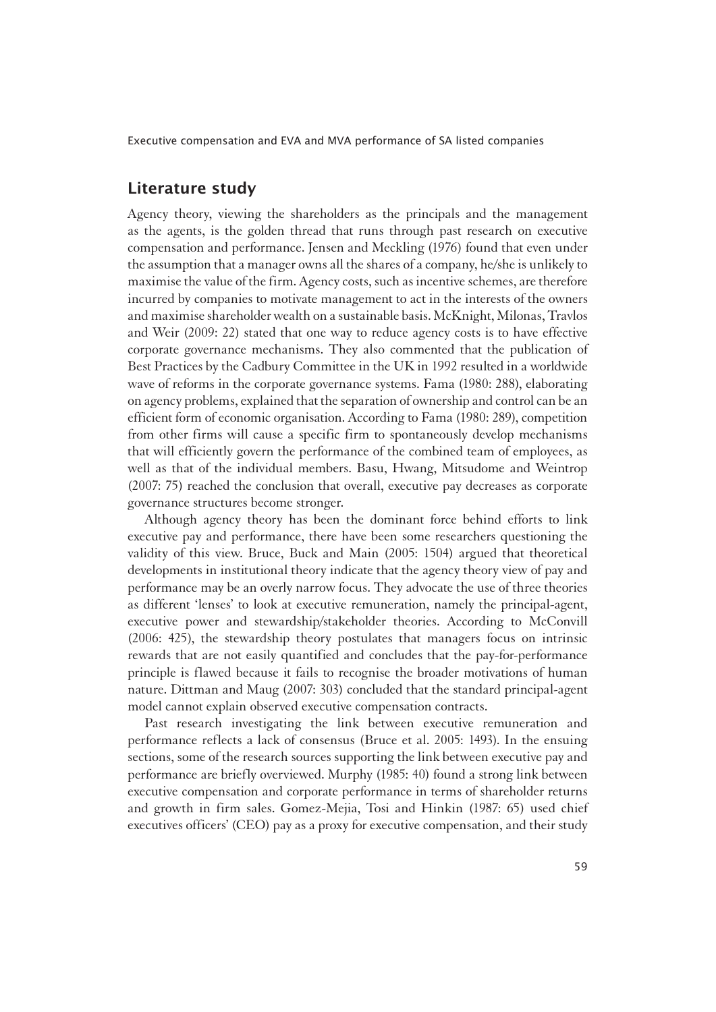### Literature study

1Agency theory, viewing the shareholders as the principals and the management as the agents, is the golden thread that runs through past research on executive compensation and performance. Jensen and Meckling (1976) found that even under the assumption that a manager owns all the shares of a company, he/she is unlikely to maximise the value of the firm. Agency costs, such as incentive schemes, are therefore incurred by companies to motivate management to act in the interests of the owners and maximise shareholder wealth on a sustainable basis. McKnight, Milonas, Travlos and Weir (2009: 22) stated that one way to reduce agency costs is to have effective corporate governance mechanisms. They also commented that the publication of Best Practices by the Cadbury Committee in the UK in 1992 resulted in a worldwide wave of reforms in the corporate governance systems. Fama (1980: 288), elaborating on agency problems, explained that the separation of ownership and control can be an efficient form of economic organisation. According to Fama (1980: 289), competition from other firms will cause a specific firm to spontaneously develop mechanisms that will efficiently govern the performance of the combined team of employees, as well as that of the individual members. Basu, Hwang, Mitsudome and Weintrop (2007: 75) reached the conclusion that overall, executive pay decreases as corporate governance structures become stronger.

Although agency theory has been the dominant force behind efforts to link executive pay and performance, there have been some researchers questioning the validity of this view. Bruce, Buck and Main (2005: 1504) argued that theoretical developments in institutional theory indicate that the agency theory view of pay and performance may be an overly narrow focus. They advocate the use of three theories as different 'lenses' to look at executive remuneration, namely the principal-agent, executive power and stewardship/stakeholder theories. According to McConvill (2006: 425), the stewardship theory postulates that managers focus on intrinsic rewards that are not easily quantified and concludes that the pay-for-performance principle is flawed because it fails to recognise the broader motivations of human nature. Dittman and Maug (2007: 303) concluded that the standard principal-agent model cannot explain observed executive compensation contracts.

Past research investigating the link between executive remuneration and performance reflects a lack of consensus (Bruce et al. 2005: 1493). In the ensuing sections, some of the research sources supporting the link between executive pay and performance are briefly overviewed. Murphy (1985: 40) found a strong link between executive compensation and corporate performance in terms of shareholder returns and growth in firm sales. Gomez-Mejia, Tosi and Hinkin (1987: 65) used chief executives officers' (CEO) pay as a proxy for executive compensation, and their study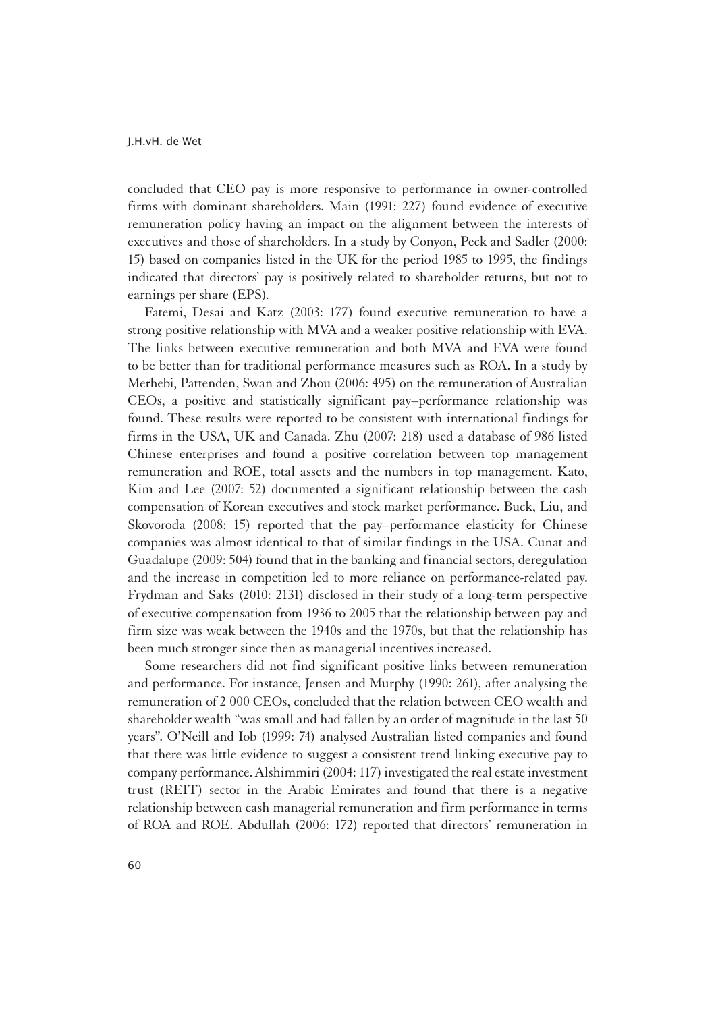concluded that CEO pay is more responsive to performance in owner-controlled firms with dominant shareholders. Main (1991: 227) found evidence of executive remuneration policy having an impact on the alignment between the interests of executives and those of shareholders. In a study by Conyon, Peck and Sadler (2000: 15) based on companies listed in the UK for the period 1985 to 1995, the findings indicated that directors' pay is positively related to shareholder returns, but not to earnings per share (EPS).

Fatemi, Desai and Katz (2003: 177) found executive remuneration to have a strong positive relationship with MVA and a weaker positive relationship with EVA. The links between executive remuneration and both MVA and EVA were found to be better than for traditional performance measures such as ROA. In a study by Merhebi, Pattenden, Swan and Zhou (2006: 495) on the remuneration of Australian CEOs, a positive and statistically significant pay–performance relationship was found. These results were reported to be consistent with international findings for firms in the USA, UK and Canada. Zhu (2007: 218) used a database of 986 listed Chinese enterprises and found a positive correlation between top management remuneration and ROE, total assets and the numbers in top management. Kato, Kim and Lee (2007: 52) documented a significant relationship between the cash compensation of Korean executives and stock market performance. Buck, Liu, and Skovoroda (2008: 15) reported that the pay–performance elasticity for Chinese companies was almost identical to that of similar findings in the USA. Cunat and Guadalupe (2009: 504) found that in the banking and financial sectors, deregulation and the increase in competition led to more reliance on performance-related pay. Frydman and Saks (2010: 2131) disclosed in their study of a long-term perspective of executive compensation from 1936 to 2005 that the relationship between pay and firm size was weak between the 1940s and the 1970s, but that the relationship has been much stronger since then as managerial incentives increased.

Some researchers did not find significant positive links between remuneration and performance. For instance, Jensen and Murphy (1990: 261), after analysing the remuneration of 2 000 CEOs, concluded that the relation between CEO wealth and shareholder wealth "was small and had fallen by an order of magnitude in the last 50 years". O'Neill and Iob (1999: 74) analysed Australian listed companies and found that there was little evidence to suggest a consistent trend linking executive pay to company performance. Alshimmiri (2004: 117) investigated the real estate investment trust (REIT) sector in the Arabic Emirates and found that there is a negative relationship between cash managerial remuneration and firm performance in terms of ROA and ROE. Abdullah (2006: 172) reported that directors' remuneration in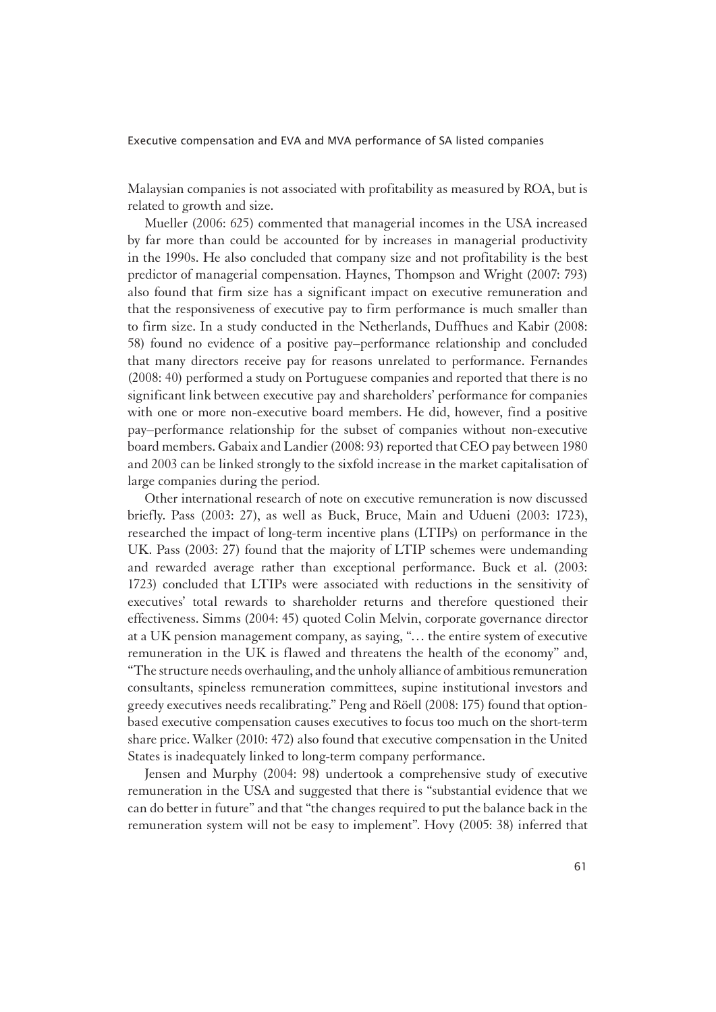Malaysian companies is not associated with profitability as measured by ROA, but is related to growth and size.

Mueller (2006: 625) commented that managerial incomes in the USA increased by far more than could be accounted for by increases in managerial productivity in the 1990s. He also concluded that company size and not profitability is the best predictor of managerial compensation. Haynes, Thompson and Wright (2007: 793) also found that firm size has a significant impact on executive remuneration and that the responsiveness of executive pay to firm performance is much smaller than to firm size. In a study conducted in the Netherlands, Duffhues and Kabir (2008: 58) found no evidence of a positive pay–performance relationship and concluded that many directors receive pay for reasons unrelated to performance. Fernandes (2008: 40) performed a study on Portuguese companies and reported that there is no significant link between executive pay and shareholders' performance for companies with one or more non-executive board members. He did, however, find a positive pay–performance relationship for the subset of companies without non-executive board members. Gabaix and Landier (2008: 93) reported that CEO pay between 1980 and 2003 can be linked strongly to the sixfold increase in the market capitalisation of large companies during the period.

Other international research of note on executive remuneration is now discussed briefly. Pass (2003: 27), as well as Buck, Bruce, Main and Udueni (2003: 1723), researched the impact of long-term incentive plans (LTIPs) on performance in the UK. Pass (2003: 27) found that the majority of LTIP schemes were undemanding and rewarded average rather than exceptional performance. Buck et al. (2003: 1723) concluded that LTIPs were associated with reductions in the sensitivity of executives' total rewards to shareholder returns and therefore questioned their effectiveness. Simms (2004: 45) quoted Colin Melvin, corporate governance director at a UK pension management company, as saying, "… the entire system of executive remuneration in the UK is flawed and threatens the health of the economy" and, "The structure needs overhauling, and the unholy alliance of ambitious remuneration consultants, spineless remuneration committees, supine institutional investors and greedy executives needs recalibrating." Peng and Röell (2008: 175) found that optionbased executive compensation causes executives to focus too much on the short-term share price. Walker (2010: 472) also found that executive compensation in the United States is inadequately linked to long-term company performance.

Jensen and Murphy (2004: 98) undertook a comprehensive study of executive remuneration in the USA and suggested that there is "substantial evidence that we can do better in future" and that "the changes required to put the balance back in the remuneration system will not be easy to implement". Hovy (2005: 38) inferred that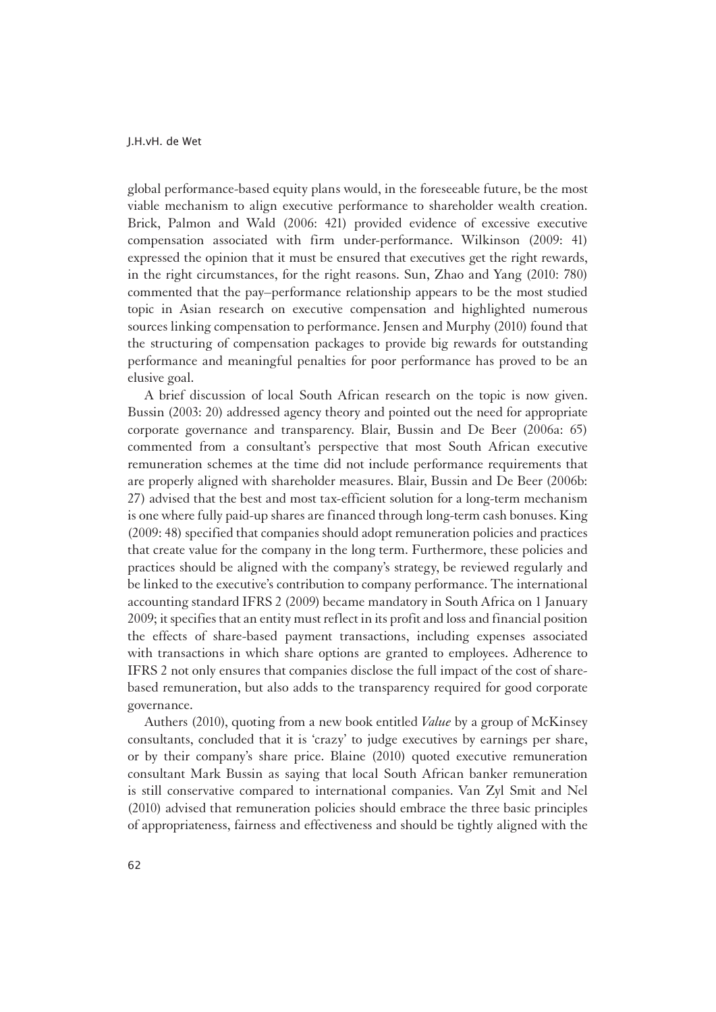global performance-based equity plans would, in the foreseeable future, be the most viable mechanism to align executive performance to shareholder wealth creation. Brick, Palmon and Wald (2006: 421) provided evidence of excessive executive compensation associated with firm under-performance. Wilkinson (2009: 41) expressed the opinion that it must be ensured that executives get the right rewards, in the right circumstances, for the right reasons. Sun, Zhao and Yang (2010: 780) commented that the pay–performance relationship appears to be the most studied topic in Asian research on executive compensation and highlighted numerous sources linking compensation to performance. Jensen and Murphy (2010) found that the structuring of compensation packages to provide big rewards for outstanding performance and meaningful penalties for poor performance has proved to be an elusive goal.

A brief discussion of local South African research on the topic is now given. Bussin (2003: 20) addressed agency theory and pointed out the need for appropriate corporate governance and transparency. Blair, Bussin and De Beer (2006a: 65) commented from a consultant's perspective that most South African executive remuneration schemes at the time did not include performance requirements that are properly aligned with shareholder measures. Blair, Bussin and De Beer (2006b: 27) advised that the best and most tax-efficient solution for a long-term mechanism is one where fully paid-up shares are financed through long-term cash bonuses. King (2009: 48) specified that companies should adopt remuneration policies and practices that create value for the company in the long term. Furthermore, these policies and practices should be aligned with the company's strategy, be reviewed regularly and be linked to the executive's contribution to company performance. The international accounting standard IFRS 2 (2009) became mandatory in South Africa on 1 January 2009; it specifies that an entity must reflect in its profit and loss and financial position the effects of share-based payment transactions, including expenses associated with transactions in which share options are granted to employees. Adherence to IFRS 2 not only ensures that companies disclose the full impact of the cost of sharebased remuneration, but also adds to the transparency required for good corporate governance.

Authers (2010), quoting from a new book entitled *Value* by a group of McKinsey consultants, concluded that it is 'crazy' to judge executives by earnings per share, or by their company's share price. Blaine (2010) quoted executive remuneration consultant Mark Bussin as saying that local South African banker remuneration is still conservative compared to international companies. Van Zyl Smit and Nel (2010) advised that remuneration policies should embrace the three basic principles of appropriateness, fairness and effectiveness and should be tightly aligned with the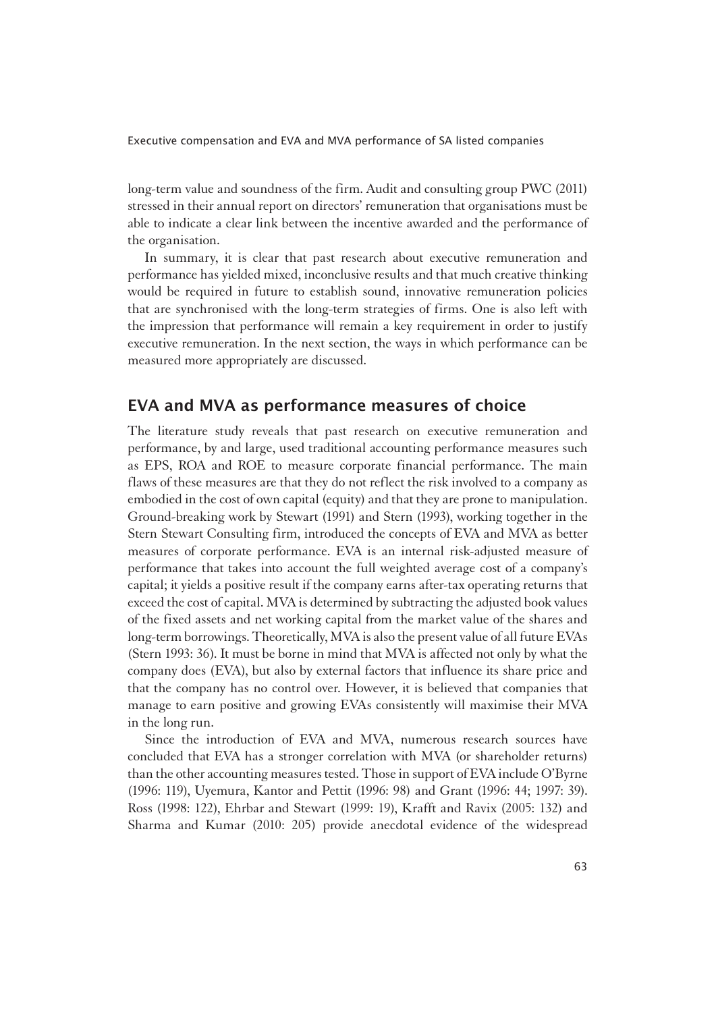long-term value and soundness of the firm. Audit and consulting group PWC (2011) stressed in their annual report on directors' remuneration that organisations must be able to indicate a clear link between the incentive awarded and the performance of the organisation.

In summary, it is clear that past research about executive remuneration and performance has yielded mixed, inconclusive results and that much creative thinking would be required in future to establish sound, innovative remuneration policies that are synchronised with the long-term strategies of firms. One is also left with the impression that performance will remain a key requirement in order to justify executive remuneration. In the next section, the ways in which performance can be measured more appropriately are discussed.

### EVA and MVA as performance measures of choice

The literature study reveals that past research on executive remuneration and performance, by and large, used traditional accounting performance measures such as EPS, ROA and ROE to measure corporate financial performance. The main flaws of these measures are that they do not reflect the risk involved to a company as embodied in the cost of own capital (equity) and that they are prone to manipulation. Ground-breaking work by Stewart (1991) and Stern (1993), working together in the Stern Stewart Consulting firm, introduced the concepts of EVA and MVA as better measures of corporate performance. EVA is an internal risk-adjusted measure of performance that takes into account the full weighted average cost of a company's capital; it yields a positive result if the company earns after-tax operating returns that exceed the cost of capital. MVA is determined by subtracting the adjusted book values of the fixed assets and net working capital from the market value of the shares and long-term borrowings. Theoretically, MVA is also the present value of all future EVAs (Stern 1993: 36). It must be borne in mind that MVA is affected not only by what the company does (EVA), but also by external factors that influence its share price and that the company has no control over. However, it is believed that companies that manage to earn positive and growing EVAs consistently will maximise their MVA in the long run.

Since the introduction of EVA and MVA, numerous research sources have concluded that EVA has a stronger correlation with MVA (or shareholder returns) than the other accounting measures tested. Those in support of EVA include O'Byrne (1996: 119), Uyemura, Kantor and Pettit (1996: 98) and Grant (1996: 44; 1997: 39). Ross (1998: 122), Ehrbar and Stewart (1999: 19), Krafft and Ravix (2005: 132) and Sharma and Kumar (2010: 205) provide anecdotal evidence of the widespread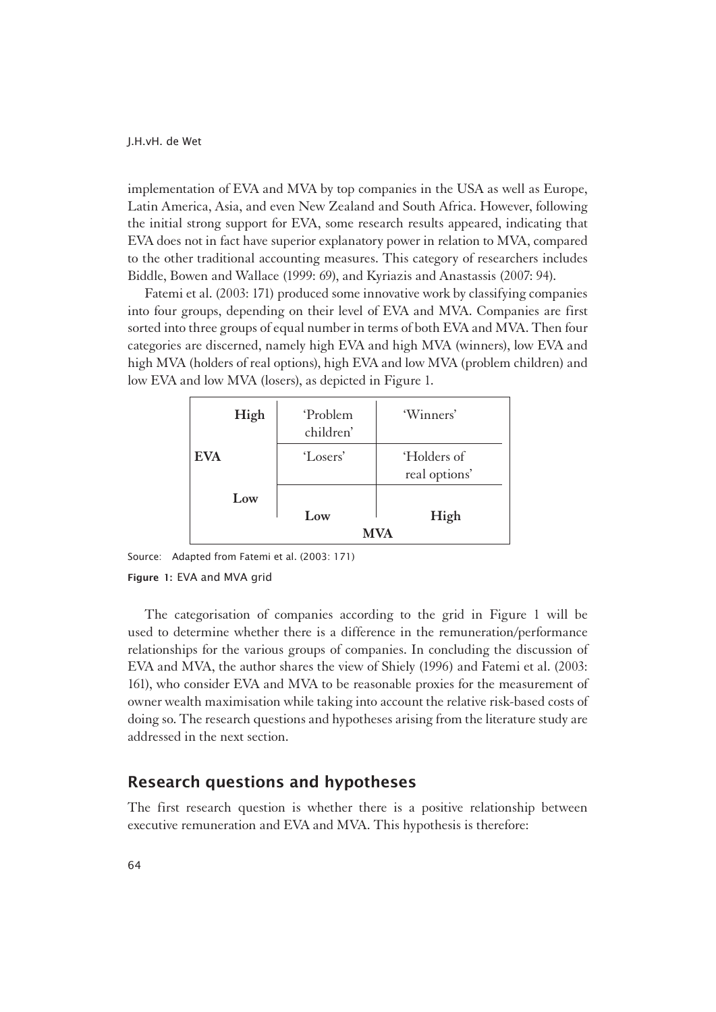implementation of EVA and MVA by top companies in the USA as well as Europe, Latin America, Asia, and even New Zealand and South Africa. However, following the initial strong support for EVA, some research results appeared, indicating that EVA does not in fact have superior explanatory power in relation to MVA, compared to the other traditional accounting measures. This category of researchers includes Biddle, Bowen and Wallace (1999: 69), and Kyriazis and Anastassis (2007: 94).

Fatemi et al. (2003: 171) produced some innovative work by classifying companies into four groups, depending on their level of EVA and MVA. Companies are first sorted into three groups of equal number in terms of both EVA and MVA. Then four categories are discerned, namely high EVA and high MVA (winners), low EVA and high MVA (holders of real options), high EVA and low MVA (problem children) and low EVA and low MVA (losers), as depicted in Figure 1.

| High       | <b>Problem</b><br>children' | 'Winners'                    |  |  |
|------------|-----------------------------|------------------------------|--|--|
| <b>EVA</b> | 'Losers'                    | 'Holders of<br>real options' |  |  |
| Low        | Low                         | High                         |  |  |
|            | MVA                         |                              |  |  |

Source: Adapted from Fatemi et al. (2003: 171)

#### Figure 1: EVA and MVA grid

The categorisation of companies according to the grid in Figure 1 will be used to determine whether there is a difference in the remuneration/performance relationships for the various groups of companies. In concluding the discussion of EVA and MVA, the author shares the view of Shiely (1996) and Fatemi et al. (2003: 161), who consider EVA and MVA to be reasonable proxies for the measurement of owner wealth maximisation while taking into account the relative risk-based costs of doing so. The research questions and hypotheses arising from the literature study are addressed in the next section.

### Research questions and hypotheses

The first research question is whether there is a positive relationship between executive remuneration and EVA and MVA. This hypothesis is therefore: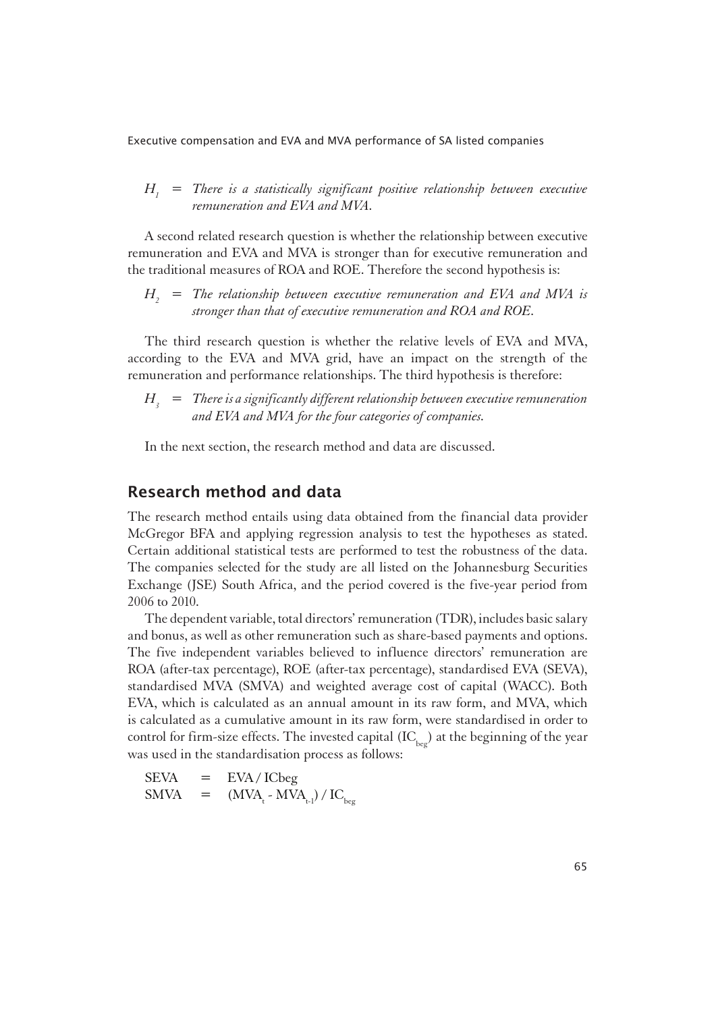#### *H1 = There is a statistically significant positive relationship between executive remuneration and EVA and MVA.*

A second related research question is whether the relationship between executive remuneration and EVA and MVA is stronger than for executive remuneration and the traditional measures of ROA and ROE. Therefore the second hypothesis is:

*H2 = The relationship between executive remuneration and EVA and MVA is stronger than that of executive remuneration and ROA and ROE.*

The third research question is whether the relative levels of EVA and MVA, according to the EVA and MVA grid, have an impact on the strength of the remuneration and performance relationships. The third hypothesis is therefore:

 $H<sub>3</sub>$  = There is a significantly different relationship between executive remuneration *and EVA and MVA for the four categories of companies.*

In the next section, the research method and data are discussed.

### Research method and data

The research method entails using data obtained from the financial data provider McGregor BFA and applying regression analysis to test the hypotheses as stated. Certain additional statistical tests are performed to test the robustness of the data. The companies selected for the study are all listed on the Johannesburg Securities Exchange (JSE) South Africa, and the period covered is the five-year period from 2006 to 2010.

The dependent variable, total directors' remuneration (TDR), includes basic salary and bonus, as well as other remuneration such as share-based payments and options. The five independent variables believed to influence directors' remuneration are ROA (after-tax percentage), ROE (after-tax percentage), standardised EVA (SEVA), standardised MVA (SMVA) and weighted average cost of capital (WACC). Both EVA, which is calculated as an annual amount in its raw form, and MVA, which is calculated as a cumulative amount in its raw form, were standardised in order to control for firm-size effects. The invested capital  $(IC_{\text{hee}})$  at the beginning of the year was used in the standardisation process as follows:

 $SEVA$  =  $EVA / ICbeq$  $SMVA$  =  $(MVA<sub>t</sub> - MVA<sub>t-1</sub>) / IC<sub>beg</sub>$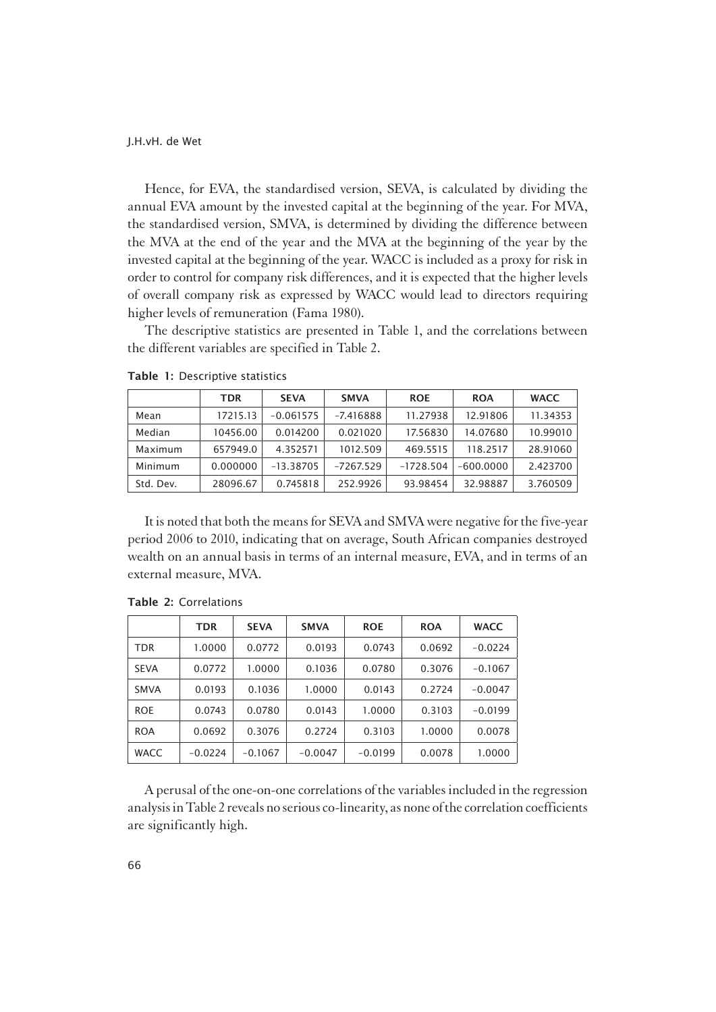Hence, for EVA, the standardised version, SEVA, is calculated by dividing the annual EVA amount by the invested capital at the beginning of the year. For MVA, the standardised version, SMVA, is determined by dividing the difference between the MVA at the end of the year and the MVA at the beginning of the year by the invested capital at the beginning of the year. WACC is included as a proxy for risk in order to control for company risk differences, and it is expected that the higher levels of overall company risk as expressed by WACC would lead to directors requiring higher levels of remuneration (Fama 1980).

The descriptive statistics are presented in Table 1, and the correlations between the different variables are specified in Table 2.

|           | <b>TDR</b> | <b>SEVA</b> | <b>SMVA</b> | <b>ROE</b>  | <b>ROA</b>  | <b>WACC</b> |
|-----------|------------|-------------|-------------|-------------|-------------|-------------|
| Mean      | 17215.13   | $-0.061575$ | $-7.416888$ | 11.27938    | 12.91806    | 11.34353    |
| Median    | 10456.00   | 0.014200    | 0.021020    | 17.56830    | 14.07680    | 10.99010    |
| Maximum   | 657949.0   | 4.352571    | 1012.509    | 469.5515    | 118.2517    | 28.91060    |
| Minimum   | 0.000000   | $-13.38705$ | $-7267.529$ | $-1728.504$ | $-600.0000$ | 2.423700    |
| Std. Dev. | 28096.67   | 0.745818    | 252.9926    | 93.98454    | 32.98887    | 3.760509    |

Table 1: Descriptive statistics

It is noted that both the means for SEVA and SMVA were negative for the five-year period 2006 to 2010, indicating that on average, South African companies destroyed wealth on an annual basis in terms of an internal measure, EVA, and in terms of an external measure, MVA.

|             | <b>TDR</b> | <b>SEVA</b> | <b>SMVA</b> | <b>ROE</b> | <b>ROA</b> | <b>WACC</b> |
|-------------|------------|-------------|-------------|------------|------------|-------------|
| <b>TDR</b>  | 1.0000     | 0.0772      | 0.0193      | 0.0743     | 0.0692     | $-0.0224$   |
| <b>SEVA</b> | 0.0772     | 1.0000      | 0.1036      | 0.0780     | 0.3076     | $-0.1067$   |
| <b>SMVA</b> | 0.0193     | 0.1036      | 1.0000      | 0.0143     | 0.2724     | $-0.0047$   |
| <b>ROE</b>  | 0.0743     | 0.0780      | 0.0143      | 1.0000     | 0.3103     | $-0.0199$   |
| <b>ROA</b>  | 0.0692     | 0.3076      | 0.2724      | 0.3103     | 1.0000     | 0.0078      |
| <b>WACC</b> | $-0.0224$  | $-0.1067$   | $-0.0047$   | $-0.0199$  | 0.0078     | 1.0000      |

Table 2: Correlations

A perusal of the one-on-one correlations of the variables included in the regression analysis in Table 2 reveals no serious co-linearity, as none of the correlation coefficients are significantly high.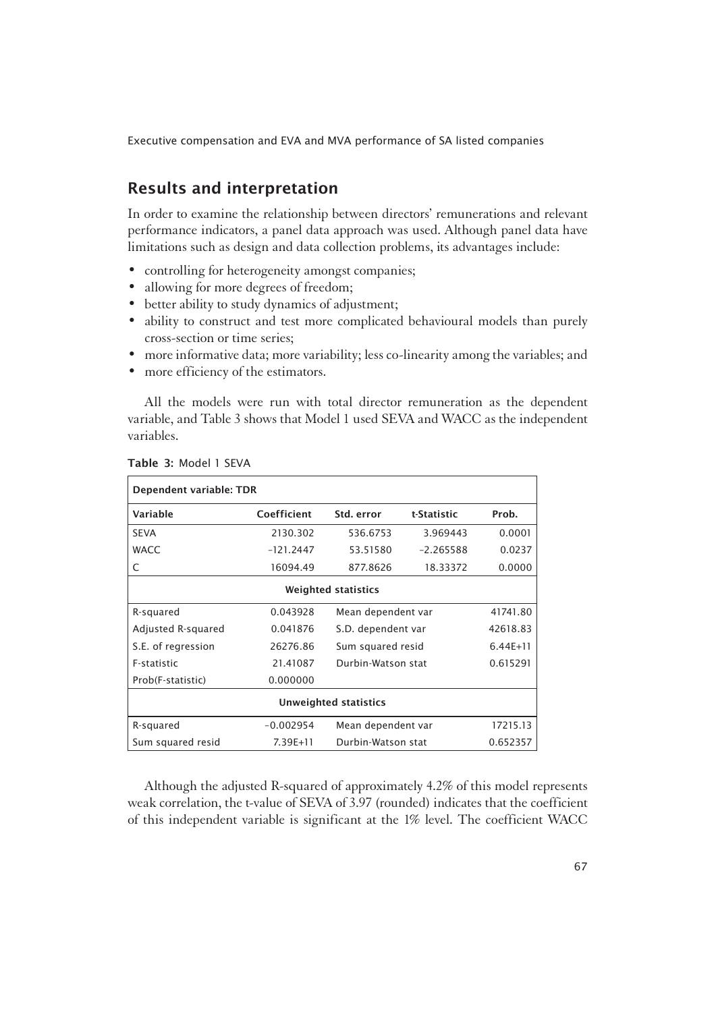# Results and interpretation

In order to examine the relationship between directors' remunerations and relevant performance indicators, a panel data approach was used. Although panel data have limitations such as design and data collection problems, its advantages include:

- controlling for heterogeneity amongst companies;
- allowing for more degrees of freedom;
- better ability to study dynamics of adjustment;
- ability to construct and test more complicated behavioural models than purely cross-section or time series;
- more informative data; more variability; less co-linearity among the variables; and
- more efficiency of the estimators.

All the models were run with total director remuneration as the dependent variable, and Table 3 shows that Model 1 used SEVA and WACC as the independent variables.

| Dependent variable: TDR    |              |                    |                    |              |  |  |
|----------------------------|--------------|--------------------|--------------------|--------------|--|--|
| Variable                   | Coefficient  | Std. error         | t-Statistic        | Prob.        |  |  |
| <b>SEVA</b>                | 2130.302     | 536.6753           | 3.969443           | 0.0001       |  |  |
| <b>WACC</b>                | $-121.2447$  | 53.51580           | $-2.265588$        | 0.0237       |  |  |
| C                          | 16094.49     | 877.8626           | 18.33372           | 0.0000       |  |  |
| <b>Weighted statistics</b> |              |                    |                    |              |  |  |
| R-squared                  | 0.043928     | Mean dependent var | 41741.80           |              |  |  |
| Adjusted R-squared         | 0.041876     |                    | S.D. dependent var |              |  |  |
| S.E. of regression         | 26276.86     | Sum squared resid  |                    | $6.44E + 11$ |  |  |
| F-statistic                | 21.41087     | Durbin-Watson stat |                    | 0.615291     |  |  |
| Prob(F-statistic)          | 0.000000     |                    |                    |              |  |  |
| Unweighted statistics      |              |                    |                    |              |  |  |
| R-squared                  | $-0.002954$  | Mean dependent var |                    | 17215.13     |  |  |
| Sum squared resid          | $7.39E + 11$ | Durbin-Watson stat |                    | 0.652357     |  |  |

Table 3: Model 1 SEVA

Although the adjusted R-squared of approximately 4.2% of this model represents weak correlation, the t-value of SEVA of 3.97 (rounded) indicates that the coefficient of this independent variable is significant at the 1% level. The coefficient WACC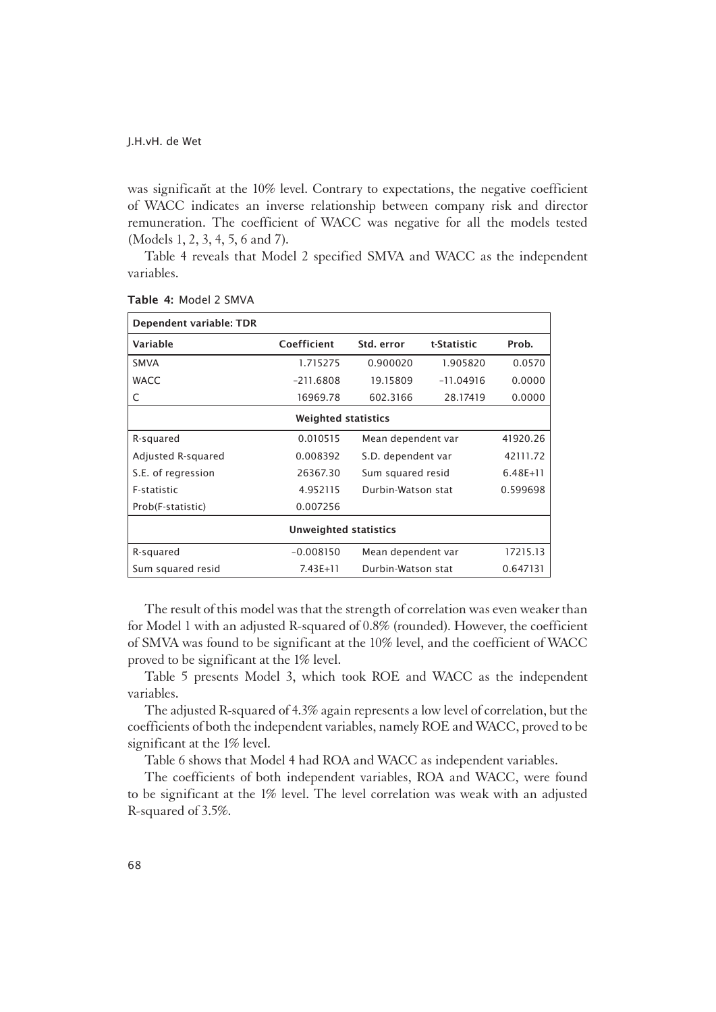was significant at the 10% level. Contrary to expectations, the negative coefficient of WACC indicates an inverse relationship between company risk and director remuneration. The coefficient of WACC was negative for all the models tested (Models 1, 2, 3, 4, 5, 6 and 7).

Table 4 reveals that Model 2 specified SMVA and WACC as the independent variables.

| Dependent variable: TDR      |                            |                    |                    |              |  |  |
|------------------------------|----------------------------|--------------------|--------------------|--------------|--|--|
| Variable                     | Coefficient                | Std. error         | t-Statistic        | Prob.        |  |  |
| <b>SMVA</b>                  | 1.715275                   | 0.900020           | 1.905820           | 0.0570       |  |  |
| <b>WACC</b>                  | $-211.6808$                | 19.15809           | $-11.04916$        | 0.0000       |  |  |
| C                            | 16969.78                   | 602.3166           | 28.17419           | 0.0000       |  |  |
|                              | <b>Weighted statistics</b> |                    |                    |              |  |  |
| R-squared                    | 0.010515                   |                    | Mean dependent var |              |  |  |
| Adjusted R-squared           | 0.008392                   | S.D. dependent var |                    | 42111.72     |  |  |
| S.E. of regression           | 26367.30                   | Sum squared resid  |                    | $6.48E + 11$ |  |  |
| F-statistic                  | 4.952115                   | Durbin-Watson stat |                    | 0.599698     |  |  |
| Prob(F-statistic)            | 0.007256                   |                    |                    |              |  |  |
| <b>Unweighted statistics</b> |                            |                    |                    |              |  |  |
| R-squared                    | $-0.008150$                | Mean dependent var |                    | 17215.13     |  |  |
| Sum squared resid            | $7.43E + 11$               | Durbin-Watson stat |                    | 0.647131     |  |  |

Table 4: Model 2 SMVA

The result of this model was that the strength of correlation was even weaker than for Model 1 with an adjusted R-squared of 0.8% (rounded). However, the coefficient of SMVA was found to be significant at the 10% level, and the coefficient of WACC proved to be significant at the 1% level.

Table 5 presents Model 3, which took ROE and WACC as the independent variables.

The adjusted R-squared of 4.3% again represents a low level of correlation, but the coefficients of both the independent variables, namely ROE and WACC, proved to be significant at the 1% level.

Table 6 shows that Model 4 had ROA and WACC as independent variables.

The coefficients of both independent variables, ROA and WACC, were found to be significant at the 1% level. The level correlation was weak with an adjusted R-squared of 3.5%.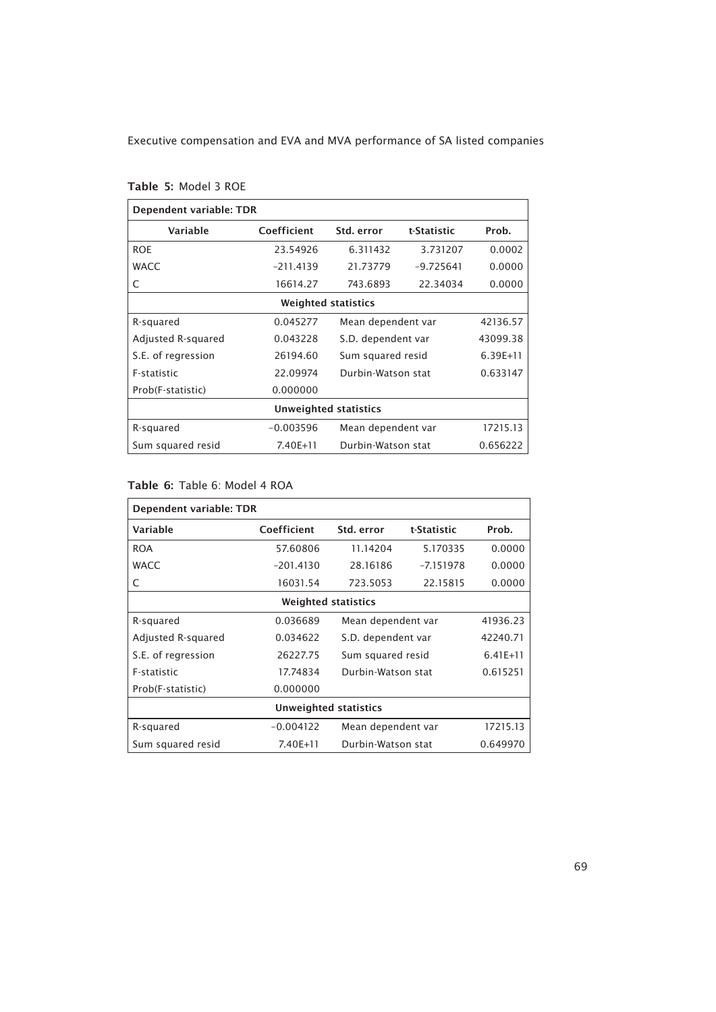| Dependent variable: TDR      |             |                                |             |              |  |  |
|------------------------------|-------------|--------------------------------|-------------|--------------|--|--|
| Variable                     | Coefficient | Std. error                     | t-Statistic | Prob.        |  |  |
| <b>ROE</b>                   | 23.54926    | 6.311432                       | 3.731207    | 0.0002       |  |  |
| <b>WACC</b>                  | $-211.4139$ | 21.73779                       | $-9.725641$ | 0.0000       |  |  |
| C                            | 16614.27    | 743.6893                       | 22.34034    | 0.0000       |  |  |
| <b>Weighted statistics</b>   |             |                                |             |              |  |  |
| R-squared                    | 0.045277    | Mean dependent var             | 42136.57    |              |  |  |
| Adjusted R-squared           | 0.043228    | S.D. dependent var<br>43099.38 |             |              |  |  |
| S.E. of regression           | 26194.60    | Sum squared resid              |             | $6.39E + 11$ |  |  |
| F-statistic                  | 22.09974    | Durbin-Watson stat             |             | 0.633147     |  |  |
| Prob(F-statistic)            | 0.000000    |                                |             |              |  |  |
| <b>Unweighted statistics</b> |             |                                |             |              |  |  |
| R-squared                    | $-0.003596$ | Mean dependent var             |             | 17215.13     |  |  |
| Sum squared resid            | 7.40E+11    | Durbin-Watson stat             |             | 0.656222     |  |  |

### Table 5: Model 3 ROE

### Table 6: Table 6: Model 4 ROA

| Dependent variable: TDR    |             |                                |             |            |  |  |
|----------------------------|-------------|--------------------------------|-------------|------------|--|--|
| Variable                   | Coefficient | Std. error                     | t-Statistic | Prob.      |  |  |
| <b>ROA</b>                 | 57.60806    | 11.14204                       | 5.170335    | 0.0000     |  |  |
| <b>WACC</b>                | $-201.4130$ | 28.16186                       | $-7.151978$ | 0.0000     |  |  |
| C                          | 16031.54    | 723.5053                       | 22.15815    | 0.0000     |  |  |
| <b>Weighted statistics</b> |             |                                |             |            |  |  |
| R-squared                  | 0.036689    | Mean dependent var<br>41936.23 |             |            |  |  |
| Adjusted R-squared         | 0.034622    | S.D. dependent var<br>42240.71 |             |            |  |  |
| S.E. of regression         | 26227.75    | Sum squared resid              |             | $6.41E+11$ |  |  |
| F-statistic                | 17.74834    | Durbin-Watson stat             |             | 0.615251   |  |  |
| Prob(F-statistic)          | 0.000000    |                                |             |            |  |  |
| Unweighted statistics      |             |                                |             |            |  |  |
| R-squared                  | $-0.004122$ | Mean dependent var             |             | 17215.13   |  |  |
| Sum squared resid          | 7.40E+11    | Durbin-Watson stat             |             | 0.649970   |  |  |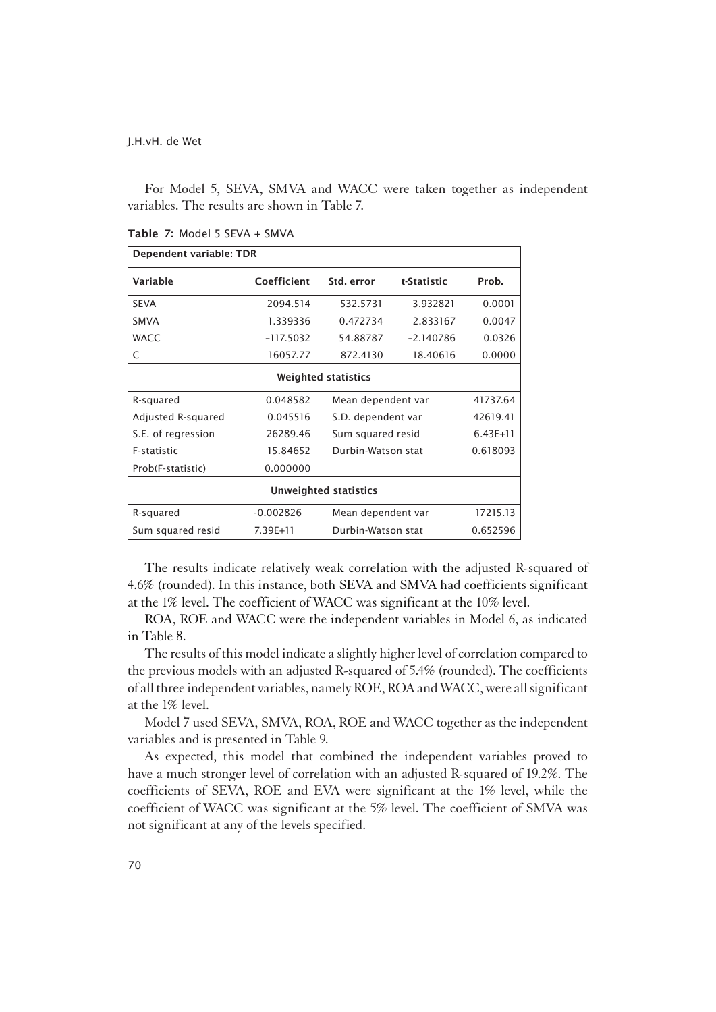For Model 5, SEVA, SMVA and WACC were taken together as independent variables. The results are shown in Table 7.

| Dependent variable: TDR |             |                            |             |            |  |  |
|-------------------------|-------------|----------------------------|-------------|------------|--|--|
| Variable                | Coefficient | Std. error                 | t-Statistic | Prob.      |  |  |
| <b>SEVA</b>             | 2094.514    | 532.5731                   | 3.932821    | 0.0001     |  |  |
| <b>SMVA</b>             | 1.339336    | 0.472734                   | 2.833167    | 0.0047     |  |  |
| <b>WACC</b>             | $-117.5032$ | 54.88787                   | $-2140786$  | 0.0326     |  |  |
| C                       | 16057.77    | 872.4130                   | 18.40616    | 0.0000     |  |  |
|                         |             | <b>Weighted statistics</b> |             |            |  |  |
| R-squared               | 0.048582    | Mean dependent var         |             | 41737.64   |  |  |
| Adjusted R-squared      | 0.045516    | S.D. dependent var         |             | 42619.41   |  |  |
| S.E. of regression      | 26289.46    | Sum squared resid          |             | $6.43E+11$ |  |  |
| <b>F-statistic</b>      | 15.84652    | Durbin-Watson stat         |             | 0.618093   |  |  |
| Prob(F-statistic)       | 0.000000    |                            |             |            |  |  |
| Unweighted statistics   |             |                            |             |            |  |  |
| R-squared               | $-0.002826$ | Mean dependent var         |             | 17215.13   |  |  |
| Sum squared resid       | 7.39E+11    | Durbin-Watson stat         |             | 0.652596   |  |  |

Table 7: Model 5 SEVA + SMVA

The results indicate relatively weak correlation with the adjusted R-squared of 4.6% (rounded). In this instance, both SEVA and SMVA had coefficients significant at the 1% level. The coefficient of WACC was significant at the 10% level.

ROA, ROE and WACC were the independent variables in Model 6, as indicated in Table 8.

The results of this model indicate a slightly higher level of correlation compared to the previous models with an adjusted R-squared of 5.4% (rounded). The coefficients of all three independent variables, namely ROE, ROA and WACC, were all significant at the 1% level.

Model 7 used SEVA, SMVA, ROA, ROE and WACC together as the independent variables and is presented in Table 9.

As expected, this model that combined the independent variables proved to have a much stronger level of correlation with an adjusted R-squared of 19.2%. The coefficients of SEVA, ROE and EVA were significant at the 1% level, while the coefficient of WACC was significant at the 5% level. The coefficient of SMVA was not significant at any of the levels specified.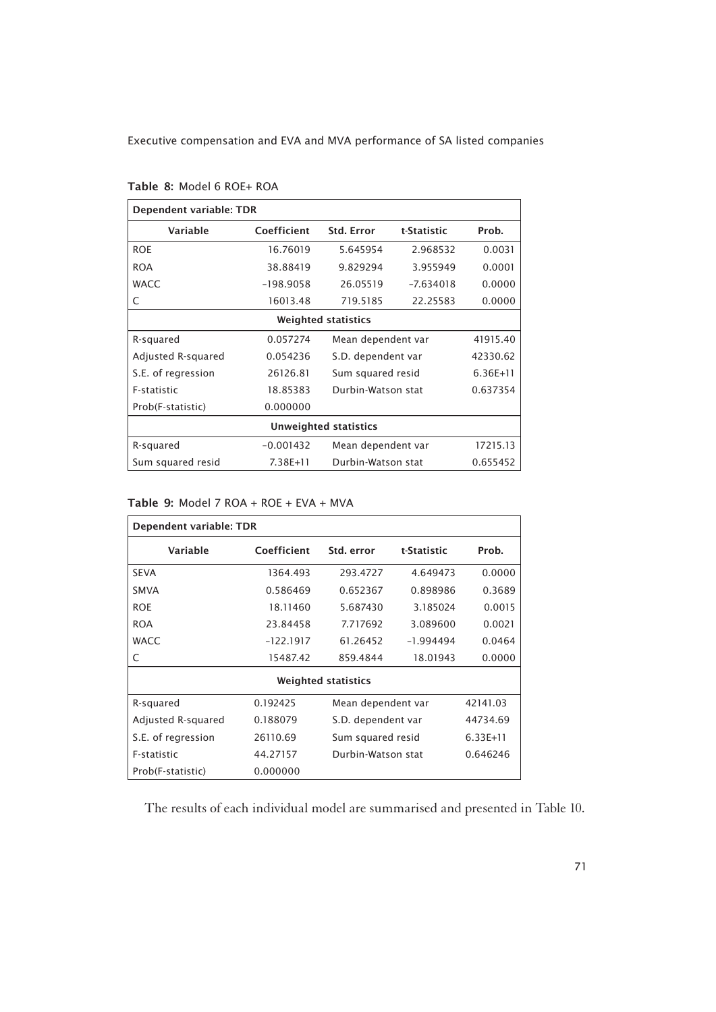| Dependent variable: TDR      |                            |                                |             |              |  |  |  |
|------------------------------|----------------------------|--------------------------------|-------------|--------------|--|--|--|
| Variable                     | Coefficient                | <b>Std. Error</b>              | t-Statistic | Prob.        |  |  |  |
| <b>ROE</b>                   | 16.76019                   | 5.645954                       | 2.968532    | 0.0031       |  |  |  |
| <b>ROA</b>                   | 38.88419                   | 9.829294                       | 3.955949    | 0.0001       |  |  |  |
| <b>WACC</b>                  | $-198.9058$                | 26.05519                       | $-7.634018$ | 0.0000       |  |  |  |
| C                            | 16013.48                   | 719.5185                       | 22.25583    | 0.0000       |  |  |  |
|                              | <b>Weighted statistics</b> |                                |             |              |  |  |  |
| R-squared                    | 0.057274                   | Mean dependent var             | 41915.40    |              |  |  |  |
| Adjusted R-squared           | 0.054236                   | S.D. dependent var             |             | 42330.62     |  |  |  |
| S.E. of regression           | 26126.81                   | Sum squared resid              |             | $6.36E + 11$ |  |  |  |
| F-statistic                  | 18.85383                   | Durbin-Watson stat             |             | 0.637354     |  |  |  |
| Prob(F-statistic)            | 0.000000                   |                                |             |              |  |  |  |
| <b>Unweighted statistics</b> |                            |                                |             |              |  |  |  |
| R-squared                    | $-0.001432$                | Mean dependent var<br>17215.13 |             |              |  |  |  |
| Sum squared resid            | 7.38E+11                   | Durbin-Watson stat<br>0.655452 |             |              |  |  |  |

| Table 8: Model 6 ROE+ ROA |  |  |  |
|---------------------------|--|--|--|
|---------------------------|--|--|--|

#### Table 9: Model 7 ROA + ROE + EVA + MVA

| Dependent variable: TDR |             |                            |                    |          |  |  |  |
|-------------------------|-------------|----------------------------|--------------------|----------|--|--|--|
| Variable                | Coefficient | Std. error                 |                    | Prob.    |  |  |  |
| <b>SEVA</b>             | 1364.493    | 293.4727                   | 4.649473           | 0.0000   |  |  |  |
| <b>SMVA</b>             | 0.586469    | 0.652367                   | 0.898986           | 0.3689   |  |  |  |
| <b>ROE</b>              | 18.11460    | 5.687430                   | 3.185024           | 0.0015   |  |  |  |
| <b>ROA</b>              | 23.84458    | 7.717692                   | 3.089600           | 0.0021   |  |  |  |
| WACC                    | $-122.1917$ | 61.26452                   | $-1.994494$        |          |  |  |  |
| C                       | 15487.42    | 859.4844<br>18.01943       |                    | 0.0000   |  |  |  |
|                         |             | <b>Weighted statistics</b> |                    |          |  |  |  |
| R-squared               | 0.192425    | Mean dependent var         |                    | 42141.03 |  |  |  |
| Adjusted R-squared      | 0.188079    |                            | S.D. dependent var |          |  |  |  |
| S.E. of regression      | 26110.69    |                            | Sum squared resid  |          |  |  |  |
| F-statistic             | 44.27157    |                            | Durbin-Watson stat |          |  |  |  |
| Prob(F-statistic)       | 0.000000    |                            |                    |          |  |  |  |

The results of each individual model are summarised and presented in Table 10.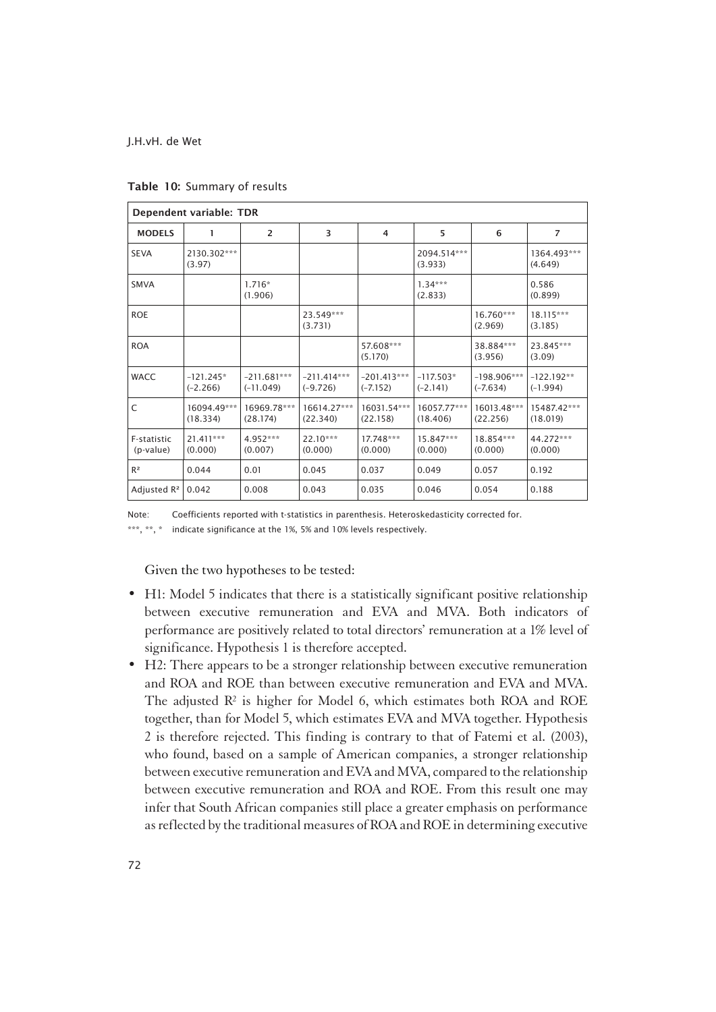| Dependent variable: TDR  |                           |                              |                             |                             |                           |                             |                            |
|--------------------------|---------------------------|------------------------------|-----------------------------|-----------------------------|---------------------------|-----------------------------|----------------------------|
| <b>MODELS</b>            | 1                         | $\overline{2}$               | 3                           | 4                           | 5                         | 6                           | $\overline{7}$             |
| <b>SEVA</b>              | 2130.302***<br>(3.97)     |                              |                             |                             | 2094.514***<br>(3.933)    |                             | 1364.493***<br>(4.649)     |
| <b>SMVA</b>              |                           | $1.716*$<br>(1.906)          |                             |                             | $1.34***$<br>(2.833)      |                             | 0.586<br>(0.899)           |
| <b>ROE</b>               |                           |                              | 23.549***<br>(3.731)        |                             |                           | 16.760***<br>(2.969)        | $18.115***$<br>(3.185)     |
| <b>ROA</b>               |                           |                              |                             | 57.608***<br>(5.170)        |                           | 38.884***<br>(3.956)        | 23.845***<br>(3.09)        |
| <b>WACC</b>              | $-121.245*$<br>$(-2.266)$ | $-211.681***$<br>$(-11.049)$ | $-211.414***$<br>$(-9.726)$ | $-201.413***$<br>$(-7.152)$ | $-117.503*$<br>$(-2.141)$ | $-198.906***$<br>$(-7.634)$ | $-122.192**$<br>$(-1.994)$ |
| C                        | 16094.49***<br>(18.334)   | 16969.78***<br>(28.174)      | 16614.27***<br>(22.340)     | 16031.54***<br>(22.158)     | 16057.77***<br>(18.406)   | 16013.48***<br>(22.256)     | 15487.42***<br>(18.019)    |
| F-statistic<br>(p-value) | 21.411***<br>(0.000)      | 4.952***<br>(0.007)          | $22.10***$<br>(0.000)       | 17.748***<br>(0.000)        | 15.847***<br>(0.000)      | 18.854***<br>(0.000)        | 44.272***<br>(0.000)       |
| $R^2$                    | 0.044                     | 0.01                         | 0.045                       | 0.037                       | 0.049                     | 0.057                       | 0.192                      |
| Adjusted R <sup>2</sup>  | 0.042                     | 0.008                        | 0.043                       | 0.035                       | 0.046                     | 0.054                       | 0.188                      |

Table 10: Summary of results

Note: Coefficients reported with t-statistics in parenthesis. Heteroskedasticity corrected for. \*\*\*, \*\*, \* indicate significance at the 1%, 5% and 10% levels respectively.

Given the two hypotheses to be tested:

- H1: Model 5 indicates that there is a statistically significant positive relationship between executive remuneration and EVA and MVA. Both indicators of performance are positively related to total directors' remuneration at a 1% level of significance. Hypothesis 1 is therefore accepted.
- H2: There appears to be a stronger relationship between executive remuneration and ROA and ROE than between executive remuneration and EVA and MVA. The adjusted R² is higher for Model 6, which estimates both ROA and ROE together, than for Model 5, which estimates EVA and MVA together. Hypothesis 2 is therefore rejected. This finding is contrary to that of Fatemi et al. (2003), who found, based on a sample of American companies, a stronger relationship between executive remuneration and EVA and MVA, compared to the relationship between executive remuneration and ROA and ROE. From this result one may infer that South African companies still place a greater emphasis on performance as reflected by the traditional measures of ROA and ROE in determining executive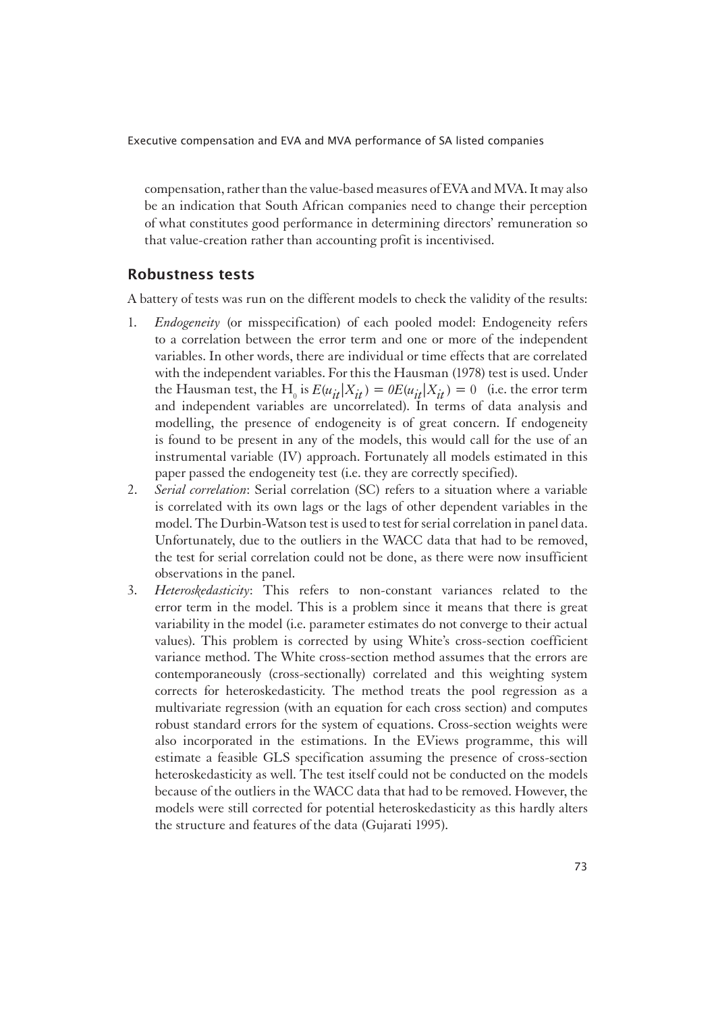compensation, rather than the value-based measures of EVA and MVA. It may also be an indication that South African companies need to change their perception of what constitutes good performance in determining directors' remuneration so that value-creation rather than accounting profit is incentivised.

#### Robustness tests

1A battery of tests was run on the different models to check the validity of the results:

- 1. *Endogeneity* (or misspecification) of each pooled model: Endogeneity refers to a correlation between the error term and one or more of the independent variables. In other words, there are individual or time effects that are correlated with the independent variables. For this the Hausman (1978) test is used. Under the Hausman test, the H<sub>0</sub> is  $E(u_{it}|X_{it}) = 0$ E( $u_{it}|X_{it}) = 0$ ) (i.e. the error term and independent variables are uncorrelated). In terms of data analysis and modelling, the presence of endogeneity is of great concern. If endogeneity is found to be present in any of the models, this would call for the use of an instrumental variable (IV) approach. Fortunately all models estimated in this paper passed the endogeneity test (i.e. they are correctly specified).
- 2. *Serial correlation*: Serial correlation (SC) refers to a situation where a variable is correlated with its own lags or the lags of other dependent variables in the model. The Durbin-Watson test is used to test for serial correlation in panel data. Unfortunately, due to the outliers in the WACC data that had to be removed, the test for serial correlation could not be done, as there were now insufficient observations in the panel.
- 3. *Heteroskedasticity*: This refers to non-constant variances related to the error term in the model. This is a problem since it means that there is great variability in the model (i.e. parameter estimates do not converge to their actual values). This problem is corrected by using White's cross-section coefficient variance method. The White cross-section method assumes that the errors are contemporaneously (cross-sectionally) correlated and this weighting system corrects for heteroskedasticity. The method treats the pool regression as a multivariate regression (with an equation for each cross section) and computes robust standard errors for the system of equations. Cross-section weights were also incorporated in the estimations. In the EViews programme, this will estimate a feasible GLS specification assuming the presence of cross-section heteroskedasticity as well. The test itself could not be conducted on the models because of the outliers in the WACC data that had to be removed. However, the models were still corrected for potential heteroskedasticity as this hardly alters the structure and features of the data (Gujarati 1995).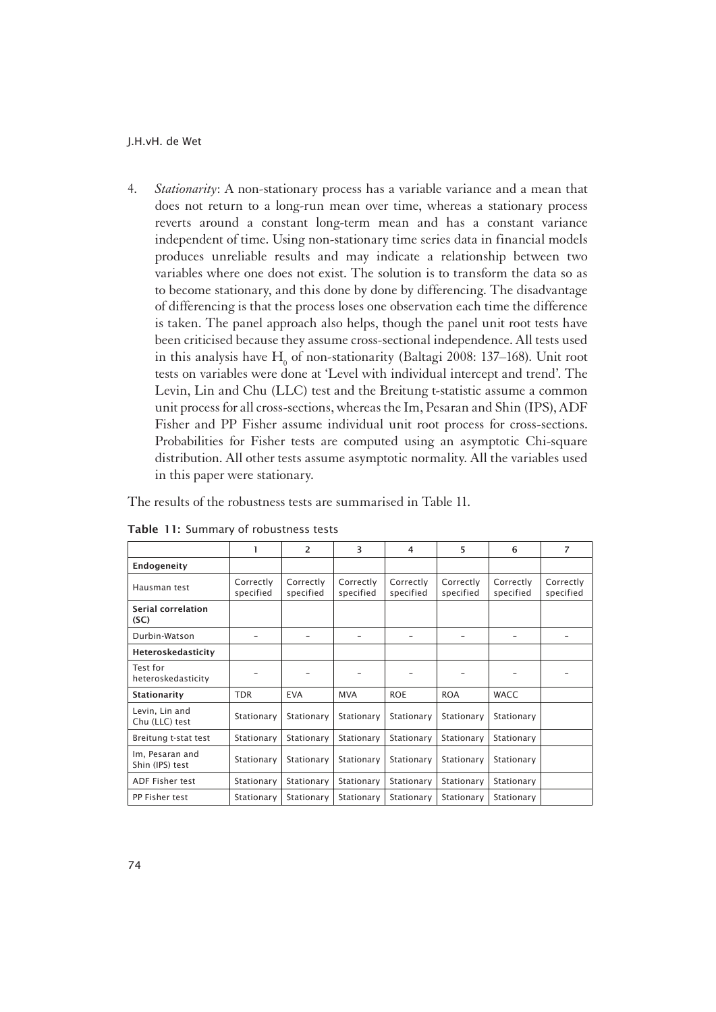4. *Stationarity*: A non-stationary process has a variable variance and a mean that does not return to a long-run mean over time, whereas a stationary process reverts around a constant long-term mean and has a constant variance independent of time. Using non-stationary time series data in financial models produces unreliable results and may indicate a relationship between two variables where one does not exist. The solution is to transform the data so as to become stationary, and this done by done by differencing. The disadvantage of differencing is that the process loses one observation each time the difference is taken. The panel approach also helps, though the panel unit root tests have been criticised because they assume cross-sectional independence. All tests used in this analysis have  $\mathrm{H}_{_{0}}$  of non-stationarity (Baltagi 2008: 137–168). Unit root tests on variables were done at 'Level with individual intercept and trend'. The Levin, Lin and Chu (LLC) test and the Breitung t-statistic assume a common unit process for all cross-sections, whereas the Im, Pesaran and Shin (IPS), ADF Fisher and PP Fisher assume individual unit root process for cross-sections. Probabilities for Fisher tests are computed using an asymptotic Chi-square distribution. All other tests assume asymptotic normality. All the variables used in this paper were stationary.

1The results of the robustness tests are summarised in Table 11.

|                                    |                        | 2                      | 3                      | 4                      | 5                      | 6                      | 7                      |
|------------------------------------|------------------------|------------------------|------------------------|------------------------|------------------------|------------------------|------------------------|
| Endogeneity                        |                        |                        |                        |                        |                        |                        |                        |
| Hausman test                       | Correctly<br>specified | Correctly<br>specified | Correctly<br>specified | Correctly<br>specified | Correctly<br>specified | Correctly<br>specified | Correctly<br>specified |
| Serial correlation<br>(SC)         |                        |                        |                        |                        |                        |                        |                        |
| Durbin-Watson                      |                        |                        |                        |                        |                        |                        |                        |
| Heteroskedasticity                 |                        |                        |                        |                        |                        |                        |                        |
| Test for<br>heteroskedasticity     |                        |                        |                        |                        |                        |                        |                        |
| Stationarity                       | <b>TDR</b>             | <b>EVA</b>             | <b>MVA</b>             | <b>ROE</b>             | <b>ROA</b>             | <b>WACC</b>            |                        |
| Levin, Lin and<br>Chu (LLC) test   | Stationary             | Stationary             | Stationary             | Stationary             | Stationary             | Stationary             |                        |
| Breitung t-stat test               | Stationary             | Stationary             | Stationary             | Stationary             | Stationary             | Stationary             |                        |
| Im, Pesaran and<br>Shin (IPS) test | Stationary             | Stationary             | Stationary             | Stationary             | Stationary             | Stationary             |                        |
| <b>ADF Fisher test</b>             | Stationary             | Stationary             | Stationary             | Stationary             | Stationary             | Stationary             |                        |
| PP Fisher test                     | Stationary             | Stationary             | Stationary             | Stationary             | Stationary             | Stationary             |                        |

Table 11: Summary of robustness tests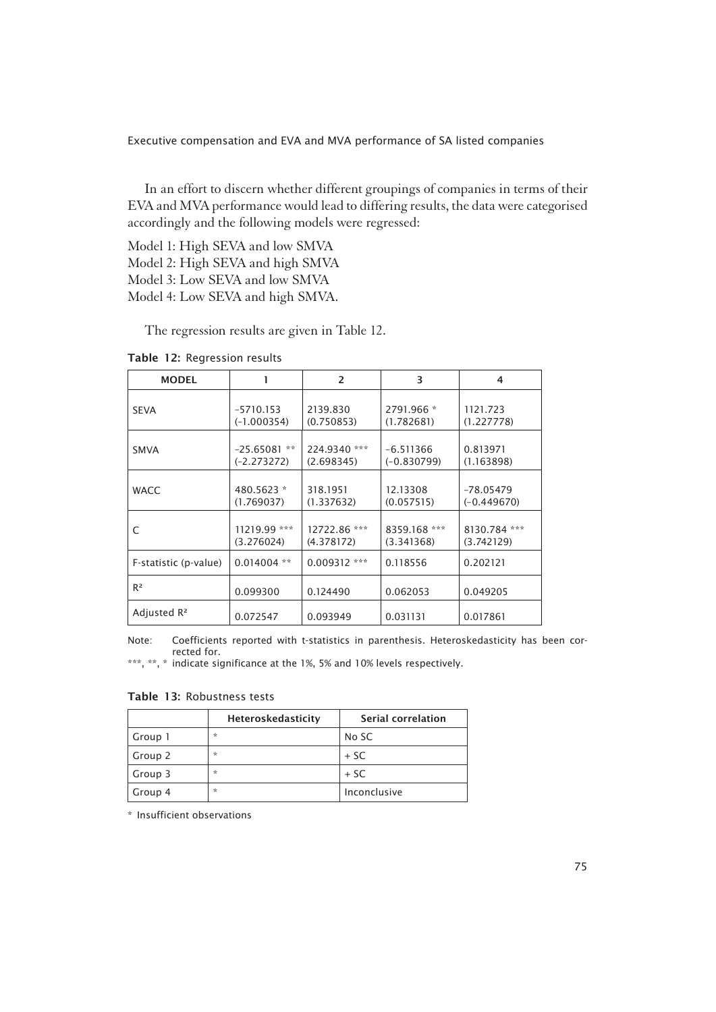In an effort to discern whether different groupings of companies in terms of their EVA and MVA performance would lead to differing results, the data were categorised accordingly and the following models were regressed:

Model 1: High SEVA and low SMVA Model 2: High SEVA and high SMVA Model 3: Low SEVA and low SMVA Model 4: Low SEVA and high SMVA.

The regression results are given in Table 12.

Table 12: Regression results

| <b>MODEL</b>            |                                    | 2                          | 3                            | 4                            |
|-------------------------|------------------------------------|----------------------------|------------------------------|------------------------------|
| <b>SEVA</b>             | $-5710.153$<br>$(-1.000354)$       | 2139.830<br>(0.750853)     | 2791.966 *<br>(1.782681)     | 1121.723<br>(1.227778)       |
| <b>SMVA</b>             | **<br>$-25.65081$<br>$(-2.273272)$ | 224.9340 ***<br>(2.698345) | $-6.511366$<br>$(-0.830799)$ | 0.813971<br>(1.163898)       |
| <b>WACC</b>             | 480.5623 *<br>(1.769037)           | 318.1951<br>(1.337632)     | 12.13308<br>(0.057515)       | $-78.05479$<br>$(-0.449670)$ |
| C                       | 11219.99 ***<br>(3.276024)         | 12722.86 ***<br>(4.378172) | 8359.168 ***<br>(3.341368)   | 8130.784 ***<br>(3.742129)   |
| F-statistic (p-value)   | $0.014004$ **                      | $0.009312$ ***             | 0.118556                     | 0.202121                     |
| $R^2$                   | 0.099300                           | 0.124490                   | 0.062053                     | 0.049205                     |
| Adjusted R <sup>2</sup> | 0.072547                           | 0.093949                   | 0.031131                     | 0.017861                     |

Note: Coefficients reported with t-statistics in parenthesis. Heteroskedasticity has been corrected for.

\*\*\*, \*\*, \* indicate significance at the 1%, 5% and 10% levels respectively.

Table 13: Robustness tests

|         | Heteroskedasticity | Serial correlation |
|---------|--------------------|--------------------|
| Group 1 | $\star$            | No SC              |
| Group 2 | $\star$            | $+$ SC             |
| Group 3 | $\star$            | $+$ SC             |
| Group 4 | $\star$            | Inconclusive       |

\* Insufficient observations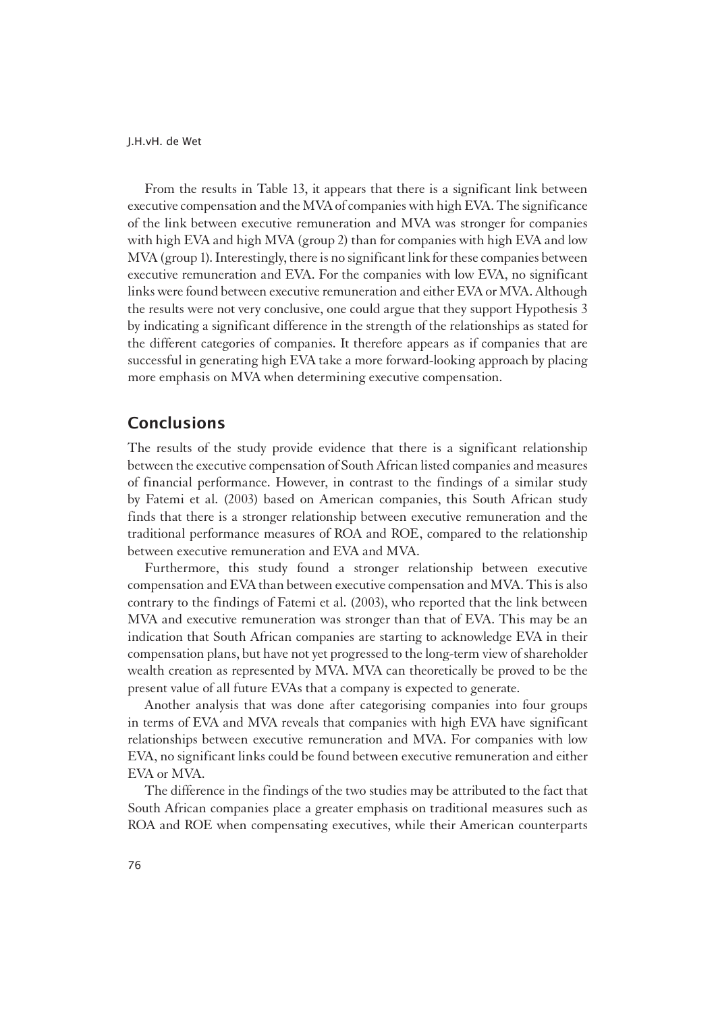From the results in Table 13, it appears that there is a significant link between executive compensation and the MVA of companies with high EVA. The significance of the link between executive remuneration and MVA was stronger for companies with high EVA and high MVA (group 2) than for companies with high EVA and low MVA (group 1). Interestingly, there is no significant link for these companies between executive remuneration and EVA. For the companies with low EVA, no significant links were found between executive remuneration and either EVA or MVA. Although the results were not very conclusive, one could argue that they support Hypothesis 3 by indicating a significant difference in the strength of the relationships as stated for the different categories of companies. It therefore appears as if companies that are successful in generating high EVA take a more forward-looking approach by placing more emphasis on MVA when determining executive compensation.

# Conclusions

The results of the study provide evidence that there is a significant relationship between the executive compensation of South African listed companies and measures of financial performance. However, in contrast to the findings of a similar study by Fatemi et al. (2003) based on American companies, this South African study finds that there is a stronger relationship between executive remuneration and the traditional performance measures of ROA and ROE, compared to the relationship between executive remuneration and EVA and MVA.

Furthermore, this study found a stronger relationship between executive compensation and EVA than between executive compensation and MVA. This is also contrary to the findings of Fatemi et al. (2003), who reported that the link between MVA and executive remuneration was stronger than that of EVA. This may be an indication that South African companies are starting to acknowledge EVA in their compensation plans, but have not yet progressed to the long-term view of shareholder wealth creation as represented by MVA. MVA can theoretically be proved to be the present value of all future EVAs that a company is expected to generate.

Another analysis that was done after categorising companies into four groups in terms of EVA and MVA reveals that companies with high EVA have significant relationships between executive remuneration and MVA. For companies with low EVA, no significant links could be found between executive remuneration and either EVA or MVA.

The difference in the findings of the two studies may be attributed to the fact that South African companies place a greater emphasis on traditional measures such as ROA and ROE when compensating executives, while their American counterparts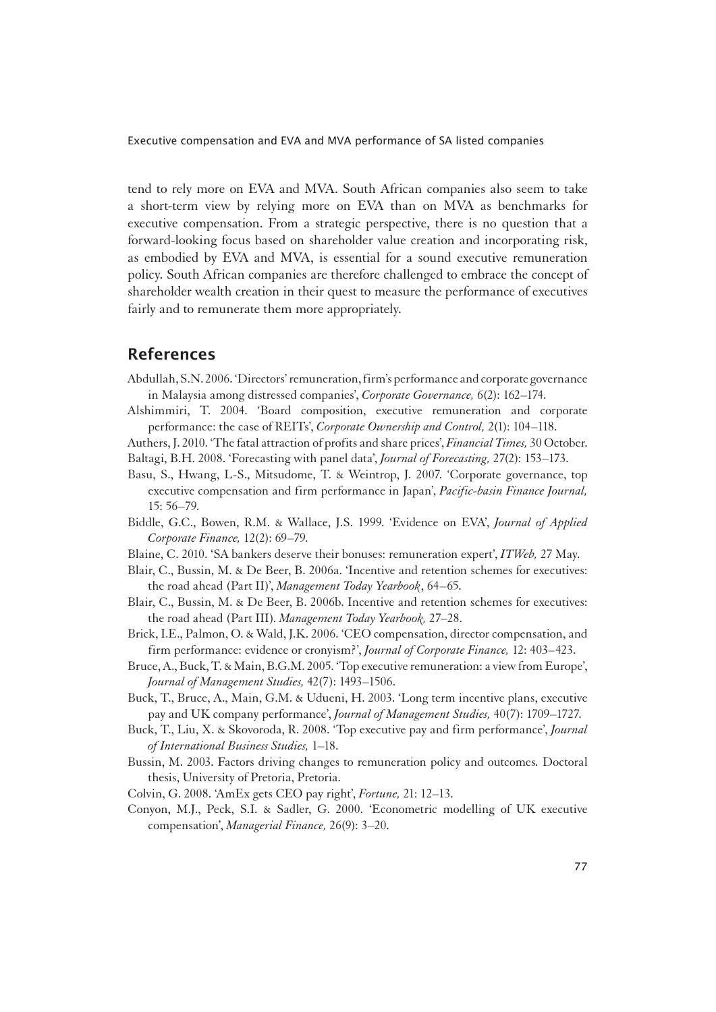tend to rely more on EVA and MVA. South African companies also seem to take a short-term view by relying more on EVA than on MVA as benchmarks for executive compensation. From a strategic perspective, there is no question that a forward-looking focus based on shareholder value creation and incorporating risk, as embodied by EVA and MVA, is essential for a sound executive remuneration policy. South African companies are therefore challenged to embrace the concept of shareholder wealth creation in their quest to measure the performance of executives fairly and to remunerate them more appropriately.

### References

- Abdullah, S.N. 2006. 'Directors' remuneration, firm's performance and corporate governance in Malaysia among distressed companies', *Corporate Governance,* 6(2): 162–174.
- Alshimmiri, T. 2004. 'Board composition, executive remuneration and corporate performance: the case of REITs', *Corporate Ownership and Control,* 2(1): 104–118.
- Authers, J. 2010. 'The fatal attraction of profits and share prices', *Financial Times,* 30 October. Baltagi, B.H. 2008. 'Forecasting with panel data', *Journal of Forecasting,* 27(2): 153–173.
- Basu, S., Hwang, L-S., Mitsudome, T. & Weintrop, J. 2007. 'Corporate governance, top executive compensation and firm performance in Japan', *Pacific-basin Finance Journal,*  15: 56–79.
- Biddle, G.C., Bowen, R.M. & Wallace, J.S. 1999. 'Evidence on EVA', *Journal of Applied Corporate Finance,* 12(2): 69–79.
- Blaine, C. 2010. 'SA bankers deserve their bonuses: remuneration expert', *ITWeb,* 27 May.
- Blair, C., Bussin, M. & De Beer, B. 2006a. 'Incentive and retention schemes for executives: the road ahead (Part II)', *Management Today Yearbook*, 64–65.
- Blair, C., Bussin, M. & De Beer, B. 2006b. Incentive and retention schemes for executives: the road ahead (Part III). *Management Today Yearbook,* 27–28.
- Brick, I.E., Palmon, O. & Wald, J.K. 2006. 'CEO compensation, director compensation, and firm performance: evidence or cronyism?', *Journal of Corporate Finance,* 12: 403–423.
- Bruce, A., Buck, T. & Main, B.G.M. 2005. 'Top executive remuneration: a view from Europe', *Journal of Management Studies,* 42(7): 1493–1506.
- Buck, T., Bruce, A., Main, G.M. & Udueni, H. 2003. 'Long term incentive plans, executive pay and UK company performance', *Journal of Management Studies,* 40(7): 1709–1727.
- Buck, T., Liu, X. & Skovoroda, R. 2008. 'Top executive pay and firm performance', *Journal of International Business Studies,* 1–18.
- Bussin, M. 2003. Factors driving changes to remuneration policy and outcomes*.* Doctoral thesis, University of Pretoria, Pretoria.
- Colvin, G. 2008. 'AmEx gets CEO pay right', *Fortune,* 21: 12–13.
- Conyon, M.J., Peck, S.I. & Sadler, G. 2000. 'Econometric modelling of UK executive compensation', *Managerial Finance,* 26(9): 3–20.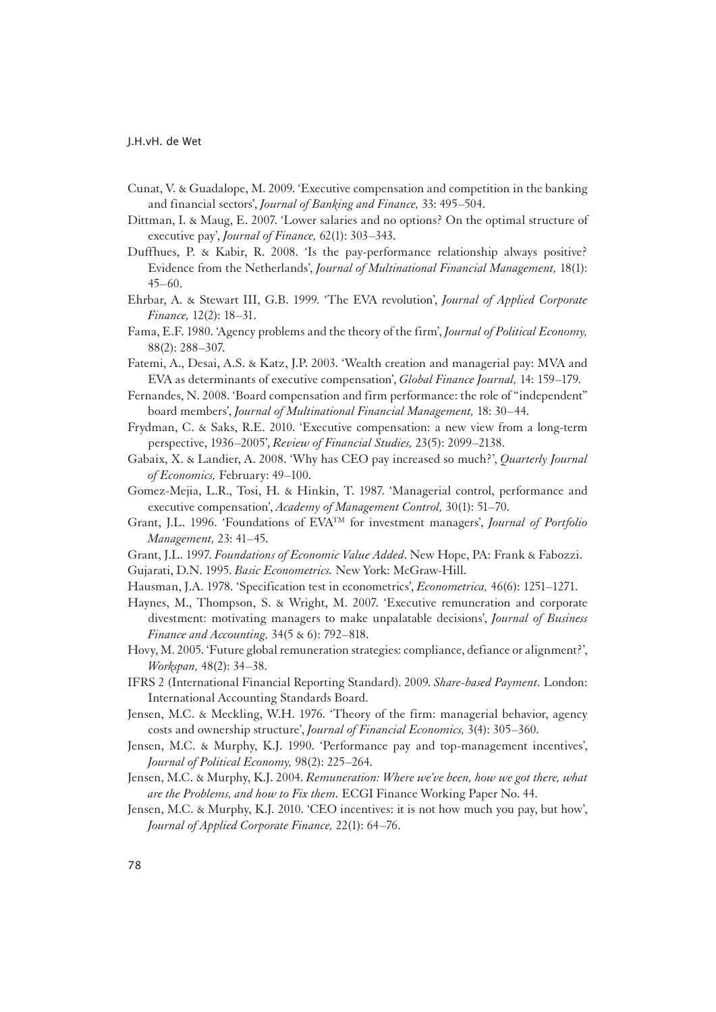- Cunat, V. & Guadalope, M. 2009. 'Executive compensation and competition in the banking and financial sectors', *Journal of Banking and Finance,* 33: 495–504.
- Dittman, I. & Maug, E. 2007. 'Lower salaries and no options? On the optimal structure of executive pay', *Journal of Finance,* 62(1): 303–343.
- Duffhues, P. & Kabir, R. 2008. 'Is the pay-performance relationship always positive? Evidence from the Netherlands', *Journal of Multinational Financial Management,* 18(1): 45–60.
- Ehrbar, A. & Stewart III, G.B. 1999. 'The EVA revolution', *Journal of Applied Corporate Finance,* 12(2): 18–31.
- Fama, E.F. 1980. 'Agency problems and the theory of the firm', *Journal of Political Economy,*  88(2): 288–307.
- Fatemi, A., Desai, A.S. & Katz, J.P. 2003. 'Wealth creation and managerial pay: MVA and EVA as determinants of executive compensation', *Global Finance Journal,* 14: 159–179.
- Fernandes, N. 2008. 'Board compensation and firm performance: the role of "independent" board members', *Journal of Multinational Financial Management,* 18: 30–44.
- Frydman, C. & Saks, R.E. 2010. 'Executive compensation: a new view from a long-term perspective, 1936–2005', *Review of Financial Studies,* 23(5): 2099–2138.
- Gabaix, X. & Landier, A. 2008. 'Why has CEO pay increased so much?', *Quarterly Journal of Economics,* February: 49–100.
- Gomez-Mejia, L.R., Tosi, H. & Hinkin, T. 1987. 'Managerial control, performance and executive compensation', *Academy of Management Control,* 30(1): 51–70.
- Grant, J.L. 1996. 'Foundations of EVATM for investment managers', *Journal of Portfolio Management,* 23: 41–45.
- Grant, J.L. 1997. *Foundations of Economic Value Added*. New Hope, PA: Frank & Fabozzi.

Gujarati, D.N. 1995. *Basic Econometrics.* New York: McGraw-Hill.

- Hausman, J.A. 1978. 'Specification test in econometrics', *Econometrica,* 46(6): 1251–1271.
- Haynes, M., Thompson, S. & Wright, M. 2007. 'Executive remuneration and corporate divestment: motivating managers to make unpalatable decisions', *Journal of Business Finance and Accounting,* 34(5 & 6): 792–818.
- Hovy, M. 2005. 'Future global remuneration strategies: compliance, defiance or alignment?', *Workspan,* 48(2): 34–38.
- IFRS 2 (International Financial Reporting Standard). 2009. *Share-based Payment.* London: International Accounting Standards Board.
- Jensen, M.C. & Meckling, W.H. 1976. 'Theory of the firm: managerial behavior, agency costs and ownership structure', *Journal of Financial Economics,* 3(4): 305–360.
- Jensen, M.C. & Murphy, K.J. 1990. 'Performance pay and top-management incentives', *Journal of Political Economy,* 98(2): 225–264.
- Jensen, M.C. & Murphy, K.J. 2004. *Remuneration: Where we've been, how we got there, what are the Problems, and how to Fix them.* ECGI Finance Working Paper No. 44.
- Jensen, M.C. & Murphy, K.J. 2010. 'CEO incentives: it is not how much you pay, but how', *Journal of Applied Corporate Finance,* 22(1): 64–76.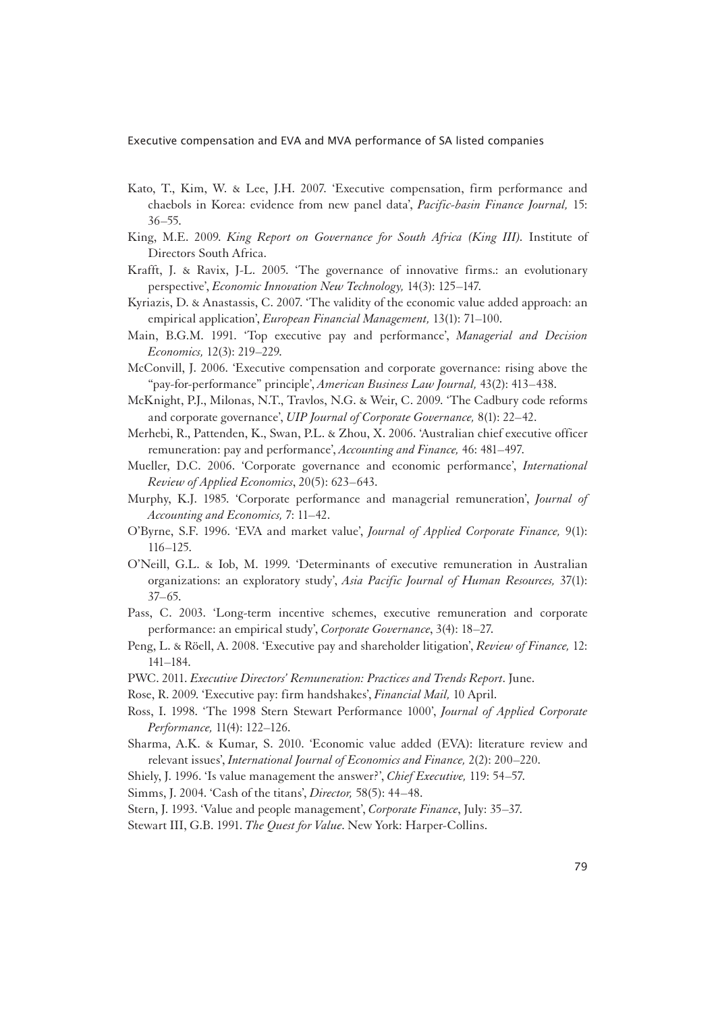- Kato, T., Kim, W. & Lee, J.H. 2007. 'Executive compensation, firm performance and chaebols in Korea: evidence from new panel data', *Pacific-basin Finance Journal,* 15: 36–55.
- King, M.E. 2009. *King Report on Governance for South Africa (King III).* Institute of Directors South Africa.
- Krafft, J. & Ravix, J-L. 2005. 'The governance of innovative firms.: an evolutionary perspective', *Economic Innovation New Technology,* 14(3): 125–147.
- Kyriazis, D. & Anastassis, C. 2007. 'The validity of the economic value added approach: an empirical application', *European Financial Management,* 13(1): 71–100.
- Main, B.G.M. 1991. 'Top executive pay and performance', *Managerial and Decision Economics,* 12(3): 219–229.
- McConvill, J. 2006. 'Executive compensation and corporate governance: rising above the "pay-for-performance" principle', *American Business Law Journal,* 43(2): 413–438.
- McKnight, P.J., Milonas, N.T., Travlos, N.G. & Weir, C. 2009. 'The Cadbury code reforms and corporate governance', *UIP Journal of Corporate Governance,* 8(1): 22–42.
- Merhebi, R., Pattenden, K., Swan, P.L. & Zhou, X. 2006. 'Australian chief executive officer remuneration: pay and performance', *Accounting and Finance,* 46: 481–497.
- Mueller, D.C. 2006. 'Corporate governance and economic performance', *International Review of Applied Economics*, 20(5): 623–643.
- Murphy, K.J. 1985. 'Corporate performance and managerial remuneration', *Journal of Accounting and Economics,* 7: 11–42.
- O'Byrne, S.F. 1996. 'EVA and market value', *Journal of Applied Corporate Finance,* 9(1): 116–125.
- O'Neill, G.L. & Iob, M. 1999. 'Determinants of executive remuneration in Australian organizations: an exploratory study', *Asia Pacific Journal of Human Resources,* 37(1): 37–65.
- Pass, C. 2003. 'Long-term incentive schemes, executive remuneration and corporate performance: an empirical study', *Corporate Governance*, 3(4): 18–27.
- Peng, L. & Röell, A. 2008. 'Executive pay and shareholder litigation', *Review of Finance,* 12: 141–184.
- PWC. 2011. *Executive Directors' Remuneration: Practices and Trends Report*. June.
- Rose, R. 2009. 'Executive pay: firm handshakes', *Financial Mail,* 10 April.
- Ross, I. 1998. 'The 1998 Stern Stewart Performance 1000', *Journal of Applied Corporate Performance,* 11(4): 122–126.
- Sharma, A.K. & Kumar, S. 2010. 'Economic value added (EVA): literature review and relevant issues', *International Journal of Economics and Finance,* 2(2): 200–220.
- Shiely, J. 1996. 'Is value management the answer?', *Chief Executive,* 119: 54–57.
- Simms, J. 2004. 'Cash of the titans', *Director,* 58(5): 44–48.
- Stern, J. 1993. 'Value and people management', *Corporate Finance*, July: 35–37.
- Stewart III, G.B. 1991. *The Quest for Value*. New York: Harper-Collins.